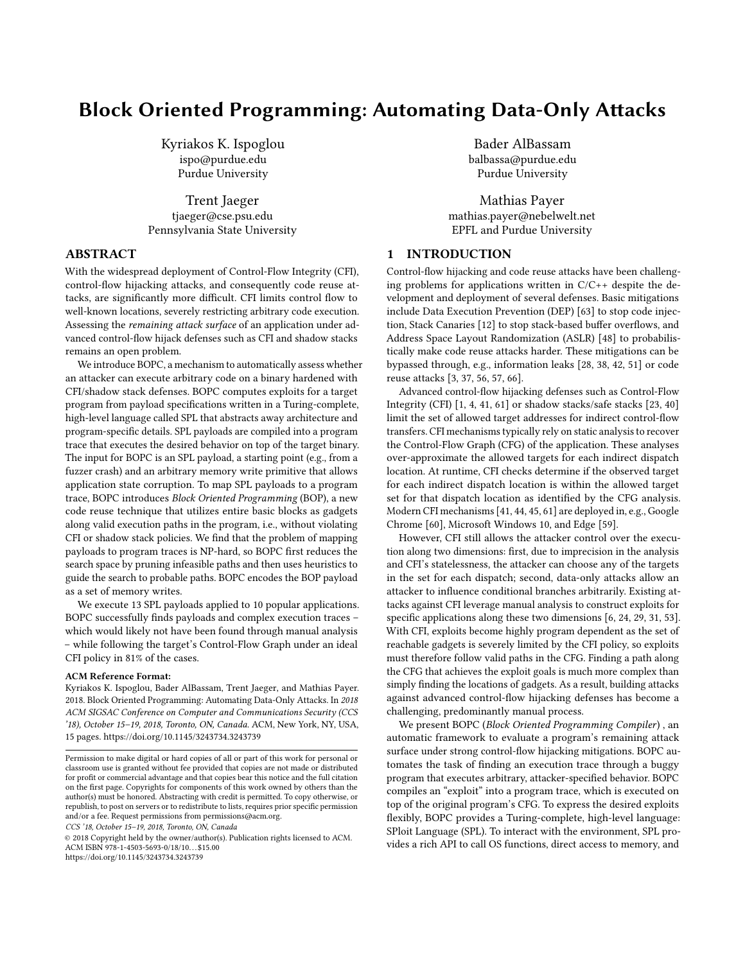# Block Oriented Programming: Automating Data-Only Attacks

Kyriakos K. Ispoglou ispo@purdue.edu Purdue University

Trent Jaeger tjaeger@cse.psu.edu Pennsylvania State University

# ABSTRACT

With the widespread deployment of Control-Flow Integrity (CFI), control-flow hijacking attacks, and consequently code reuse attacks, are significantly more difficult. CFI limits control flow to well-known locations, severely restricting arbitrary code execution. Assessing the remaining attack surface of an application under advanced control-flow hijack defenses such as CFI and shadow stacks remains an open problem.

We introduce BOPC, a mechanism to automatically assess whether an attacker can execute arbitrary code on a binary hardened with CFI/shadow stack defenses. BOPC computes exploits for a target program from payload specifications written in a Turing-complete, high-level language called SPL that abstracts away architecture and program-specific details. SPL payloads are compiled into a program trace that executes the desired behavior on top of the target binary. The input for BOPC is an SPL payload, a starting point (e.g., from a fuzzer crash) and an arbitrary memory write primitive that allows application state corruption. To map SPL payloads to a program trace, BOPC introduces Block Oriented Programming (BOP), a new code reuse technique that utilizes entire basic blocks as gadgets along valid execution paths in the program, i.e., without violating CFI or shadow stack policies. We find that the problem of mapping payloads to program traces is NP-hard, so BOPC first reduces the search space by pruning infeasible paths and then uses heuristics to guide the search to probable paths. BOPC encodes the BOP payload as a set of memory writes.

We execute 13 SPL payloads applied to 10 popular applications. BOPC successfully finds payloads and complex execution traces – which would likely not have been found through manual analysis – while following the target's Control-Flow Graph under an ideal CFI policy in 81% of the cases.

#### ACM Reference Format:

Kyriakos K. Ispoglou, Bader AlBassam, Trent Jaeger, and Mathias Payer. 2018. Block Oriented Programming: Automating Data-Only Attacks. In 2018 ACM SIGSAC Conference on Computer and Communications Security (CCS '18), October 15–19, 2018, Toronto, ON, Canada. ACM, New York, NY, USA, [15](#page-14-0) pages.<https://doi.org/10.1145/3243734.3243739>

CCS '18, October 15–19, 2018, Toronto, ON, Canada

© 2018 Copyright held by the owner/author(s). Publication rights licensed to ACM. ACM ISBN 978-1-4503-5693-0/18/10. . . \$15.00 <https://doi.org/10.1145/3243734.3243739>

Bader AlBassam balbassa@purdue.edu Purdue University

Mathias Payer mathias.payer@nebelwelt.net EPFL and Purdue University

# 1 INTRODUCTION

Control-flow hijacking and code reuse attacks have been challenging problems for applications written in  $C/C++$  despite the development and deployment of several defenses. Basic mitigations include Data Execution Prevention (DEP) [\[63\]](#page-13-0) to stop code injection, Stack Canaries [\[12\]](#page-12-0) to stop stack-based buffer overflows, and Address Space Layout Randomization (ASLR) [\[48\]](#page-12-1) to probabilistically make code reuse attacks harder. These mitigations can be bypassed through, e.g., information leaks [\[28,](#page-12-2) [38,](#page-12-3) [42,](#page-12-4) [51\]](#page-12-5) or code reuse attacks [\[3,](#page-12-6) [37,](#page-12-7) [56,](#page-12-8) [57,](#page-12-9) [66\]](#page-13-1).

Advanced control-flow hijacking defenses such as Control-Flow Integrity (CFI) [\[1,](#page-12-10) [4,](#page-12-11) [41,](#page-12-12) [61\]](#page-13-2) or shadow stacks/safe stacks [\[23,](#page-12-13) [40\]](#page-12-14) limit the set of allowed target addresses for indirect control-flow transfers. CFI mechanisms typically rely on static analysis to recover the Control-Flow Graph (CFG) of the application. These analyses over-approximate the allowed targets for each indirect dispatch location. At runtime, CFI checks determine if the observed target for each indirect dispatch location is within the allowed target set for that dispatch location as identified by the CFG analysis. Modern CFI mechanisms [\[41,](#page-12-12) [44,](#page-12-15) [45,](#page-12-16) [61\]](#page-13-2) are deployed in, e.g., Google Chrome [\[60\]](#page-13-3), Microsoft Windows 10, and Edge [\[59\]](#page-12-17).

However, CFI still allows the attacker control over the execution along two dimensions: first, due to imprecision in the analysis and CFI's statelessness, the attacker can choose any of the targets in the set for each dispatch; second, data-only attacks allow an attacker to influence conditional branches arbitrarily. Existing attacks against CFI leverage manual analysis to construct exploits for specific applications along these two dimensions [\[6,](#page-12-18) [24,](#page-12-19) [29,](#page-12-20) [31,](#page-12-21) [53\]](#page-12-22). With CFI, exploits become highly program dependent as the set of reachable gadgets is severely limited by the CFI policy, so exploits must therefore follow valid paths in the CFG. Finding a path along the CFG that achieves the exploit goals is much more complex than simply finding the locations of gadgets. As a result, building attacks against advanced control-flow hijacking defenses has become a challenging, predominantly manual process.

We present BOPC (Block Oriented Programming Compiler) , an automatic framework to evaluate a program's remaining attack surface under strong control-flow hijacking mitigations. BOPC automates the task of finding an execution trace through a buggy program that executes arbitrary, attacker-specified behavior. BOPC compiles an "exploit" into a program trace, which is executed on top of the original program's CFG. To express the desired exploits flexibly, BOPC provides a Turing-complete, high-level language: SPloit Language (SPL). To interact with the environment, SPL provides a rich API to call OS functions, direct access to memory, and

Permission to make digital or hard copies of all or part of this work for personal or classroom use is granted without fee provided that copies are not made or distributed for profit or commercial advantage and that copies bear this notice and the full citation on the first page. Copyrights for components of this work owned by others than the author(s) must be honored. Abstracting with credit is permitted. To copy otherwise, or republish, to post on servers or to redistribute to lists, requires prior specific permission and/or a fee. Request permissions from permissions@acm.org.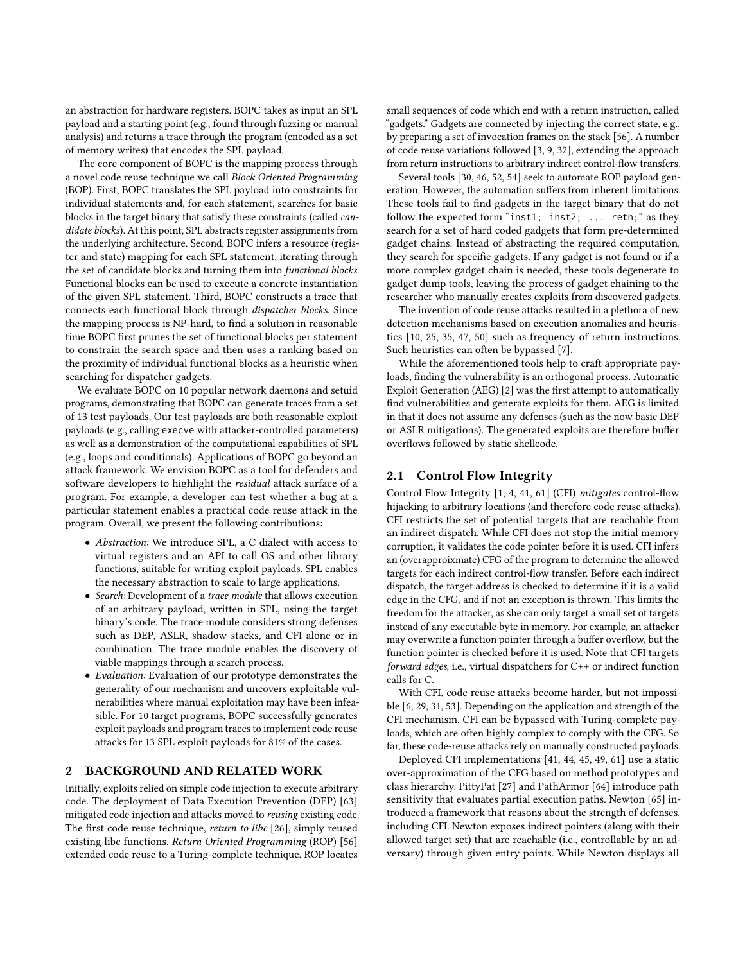an abstraction for hardware registers. BOPC takes as input an SPL payload and a starting point (e.g., found through fuzzing or manual analysis) and returns a trace through the program (encoded as a set of memory writes) that encodes the SPL payload.

The core component of BOPC is the mapping process through a novel code reuse technique we call Block Oriented Programming (BOP). First, BOPC translates the SPL payload into constraints for individual statements and, for each statement, searches for basic blocks in the target binary that satisfy these constraints (called candidate blocks). At this point, SPL abstracts register assignments from the underlying architecture. Second, BOPC infers a resource (register and state) mapping for each SPL statement, iterating through the set of candidate blocks and turning them into functional blocks. Functional blocks can be used to execute a concrete instantiation of the given SPL statement. Third, BOPC constructs a trace that connects each functional block through dispatcher blocks. Since the mapping process is NP-hard, to find a solution in reasonable time BOPC first prunes the set of functional blocks per statement to constrain the search space and then uses a ranking based on the proximity of individual functional blocks as a heuristic when searching for dispatcher gadgets.

We evaluate BOPC on 10 popular network daemons and setuid programs, demonstrating that BOPC can generate traces from a set of 13 test payloads. Our test payloads are both reasonable exploit payloads (e.g., calling execve with attacker-controlled parameters) as well as a demonstration of the computational capabilities of SPL (e.g., loops and conditionals). Applications of BOPC go beyond an attack framework. We envision BOPC as a tool for defenders and software developers to highlight the residual attack surface of a program. For example, a developer can test whether a bug at a particular statement enables a practical code reuse attack in the program. Overall, we present the following contributions:

- Abstraction: We introduce SPL, a C dialect with access to virtual registers and an API to call OS and other library functions, suitable for writing exploit payloads. SPL enables the necessary abstraction to scale to large applications.
- Search: Development of a trace module that allows execution of an arbitrary payload, written in SPL, using the target binary's code. The trace module considers strong defenses such as DEP, ASLR, shadow stacks, and CFI alone or in combination. The trace module enables the discovery of viable mappings through a search process.
- Evaluation: Evaluation of our prototype demonstrates the generality of our mechanism and uncovers exploitable vulnerabilities where manual exploitation may have been infeasible. For 10 target programs, BOPC successfully generates exploit payloads and program traces to implement code reuse attacks for 13 SPL exploit payloads for 81% of the cases.

## 2 BACKGROUND AND RELATED WORK

Initially, exploits relied on simple code injection to execute arbitrary code. The deployment of Data Execution Prevention (DEP) [\[63\]](#page-13-0) mitigated code injection and attacks moved to reusing existing code. The first code reuse technique, return to libc [\[26\]](#page-12-23), simply reused existing libc functions. Return Oriented Programming (ROP) [\[56\]](#page-12-8) extended code reuse to a Turing-complete technique. ROP locates small sequences of code which end with a return instruction, called "gadgets." Gadgets are connected by injecting the correct state, e.g., by preparing a set of invocation frames on the stack [\[56\]](#page-12-8). A number of code reuse variations followed [\[3,](#page-12-6) [9,](#page-12-24) [32\]](#page-12-25), extending the approach from return instructions to arbitrary indirect control-flow transfers.

Several tools [\[30,](#page-12-26) [46,](#page-12-27) [52,](#page-12-28) [54\]](#page-12-29) seek to automate ROP payload generation. However, the automation suffers from inherent limitations. These tools fail to find gadgets in the target binary that do not follow the expected form "inst1; inst2; ... retn;" as they search for a set of hard coded gadgets that form pre-determined gadget chains. Instead of abstracting the required computation, they search for specific gadgets. If any gadget is not found or if a more complex gadget chain is needed, these tools degenerate to gadget dump tools, leaving the process of gadget chaining to the researcher who manually creates exploits from discovered gadgets.

The invention of code reuse attacks resulted in a plethora of new detection mechanisms based on execution anomalies and heuristics [\[10,](#page-12-30) [25,](#page-12-31) [35,](#page-12-32) [47,](#page-12-33) [50\]](#page-12-34) such as frequency of return instructions. Such heuristics can often be bypassed [\[7\]](#page-12-35).

While the aforementioned tools help to craft appropriate payloads, finding the vulnerability is an orthogonal process. Automatic Exploit Generation (AEG) [\[2\]](#page-12-36) was the first attempt to automatically find vulnerabilities and generate exploits for them. AEG is limited in that it does not assume any defenses (such as the now basic DEP or ASLR mitigations). The generated exploits are therefore buffer overflows followed by static shellcode.

# 2.1 Control Flow Integrity

Control Flow Integrity [\[1,](#page-12-10) [4,](#page-12-11) [41,](#page-12-12) [61\]](#page-13-2) (CFI) mitigates control-flow hijacking to arbitrary locations (and therefore code reuse attacks). CFI restricts the set of potential targets that are reachable from an indirect dispatch. While CFI does not stop the initial memory corruption, it validates the code pointer before it is used. CFI infers an (overapproixmate) CFG of the program to determine the allowed targets for each indirect control-flow transfer. Before each indirect dispatch, the target address is checked to determine if it is a valid edge in the CFG, and if not an exception is thrown. This limits the freedom for the attacker, as she can only target a small set of targets instead of any executable byte in memory. For example, an attacker may overwrite a function pointer through a buffer overflow, but the function pointer is checked before it is used. Note that CFI targets forward edges, i.e., virtual dispatchers for C++ or indirect function calls for C.

With CFI, code reuse attacks become harder, but not impossible [\[6,](#page-12-18) [29,](#page-12-20) [31,](#page-12-21) [53\]](#page-12-22). Depending on the application and strength of the CFI mechanism, CFI can be bypassed with Turing-complete payloads, which are often highly complex to comply with the CFG. So far, these code-reuse attacks rely on manually constructed payloads.

Deployed CFI implementations [\[41,](#page-12-12) [44,](#page-12-15) [45,](#page-12-16) [49,](#page-12-37) [61\]](#page-13-2) use a static over-approximation of the CFG based on method prototypes and class hierarchy. PittyPat [\[27\]](#page-12-38) and PathArmor [\[64\]](#page-13-4) introduce path sensitivity that evaluates partial execution paths. Newton [\[65\]](#page-13-5) introduced a framework that reasons about the strength of defenses, including CFI. Newton exposes indirect pointers (along with their allowed target set) that are reachable (i.e., controllable by an adversary) through given entry points. While Newton displays all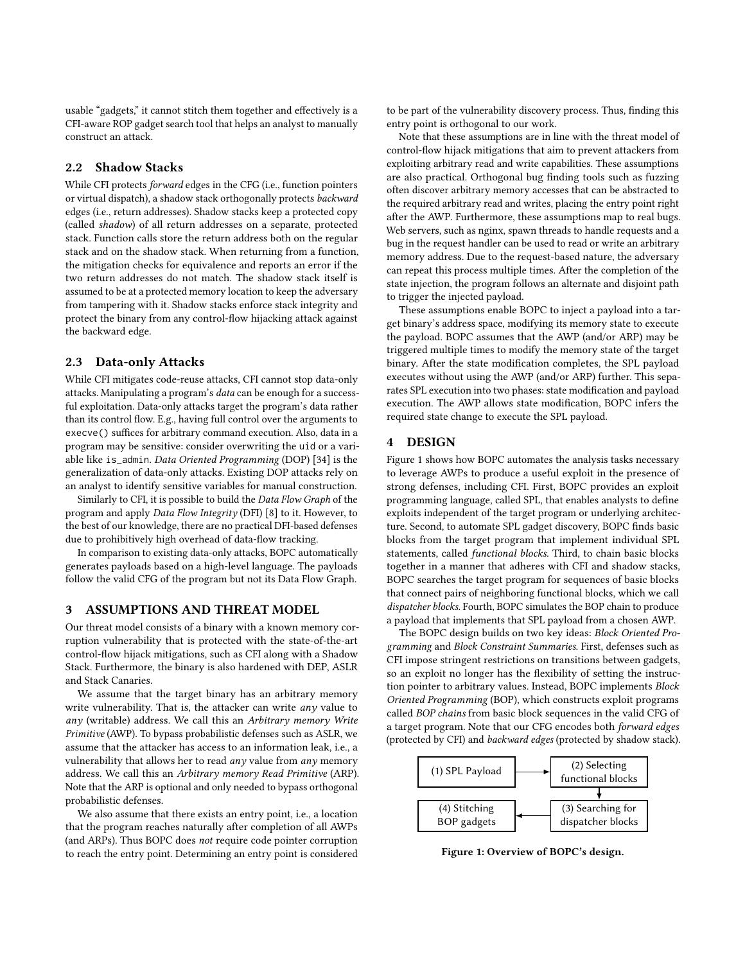usable "gadgets," it cannot stitch them together and effectively is a CFI-aware ROP gadget search tool that helps an analyst to manually construct an attack.

# 2.2 Shadow Stacks

While CFI protects forward edges in the CFG (i.e., function pointers or virtual dispatch), a shadow stack orthogonally protects backward edges (i.e., return addresses). Shadow stacks keep a protected copy (called shadow) of all return addresses on a separate, protected stack. Function calls store the return address both on the regular stack and on the shadow stack. When returning from a function, the mitigation checks for equivalence and reports an error if the two return addresses do not match. The shadow stack itself is assumed to be at a protected memory location to keep the adversary from tampering with it. Shadow stacks enforce stack integrity and protect the binary from any control-flow hijacking attack against the backward edge.

#### 2.3 Data-only Attacks

While CFI mitigates code-reuse attacks, CFI cannot stop data-only attacks. Manipulating a program's data can be enough for a successful exploitation. Data-only attacks target the program's data rather than its control flow. E.g., having full control over the arguments to execve() suffices for arbitrary command execution. Also, data in a program may be sensitive: consider overwriting the uid or a variable like is\_admin. Data Oriented Programming (DOP) [\[34\]](#page-12-39) is the generalization of data-only attacks. Existing DOP attacks rely on an analyst to identify sensitive variables for manual construction.

Similarly to CFI, it is possible to build the Data Flow Graph of the program and apply Data Flow Integrity (DFI) [\[8\]](#page-12-40) to it. However, to the best of our knowledge, there are no practical DFI-based defenses due to prohibitively high overhead of data-flow tracking.

In comparison to existing data-only attacks, BOPC automatically generates payloads based on a high-level language. The payloads follow the valid CFG of the program but not its Data Flow Graph.

## <span id="page-2-1"></span>3 ASSUMPTIONS AND THREAT MODEL

Our threat model consists of a binary with a known memory corruption vulnerability that is protected with the state-of-the-art control-flow hijack mitigations, such as CFI along with a Shadow Stack. Furthermore, the binary is also hardened with DEP, ASLR and Stack Canaries.

We assume that the target binary has an arbitrary memory write vulnerability. That is, the attacker can write *any* value to any (writable) address. We call this an Arbitrary memory Write Primitive (AWP). To bypass probabilistic defenses such as ASLR, we assume that the attacker has access to an information leak, i.e., a vulnerability that allows her to read  $any$  value from  $any$  memory address. We call this an Arbitrary memory Read Primitive (ARP). Note that the ARP is optional and only needed to bypass orthogonal probabilistic defenses.

We also assume that there exists an entry point, i.e., a location that the program reaches naturally after completion of all AWPs (and ARPs). Thus BOPC does not require code pointer corruption to reach the entry point. Determining an entry point is considered to be part of the vulnerability discovery process. Thus, finding this entry point is orthogonal to our work.

Note that these assumptions are in line with the threat model of control-flow hijack mitigations that aim to prevent attackers from exploiting arbitrary read and write capabilities. These assumptions are also practical. Orthogonal bug finding tools such as fuzzing often discover arbitrary memory accesses that can be abstracted to the required arbitrary read and writes, placing the entry point right after the AWP. Furthermore, these assumptions map to real bugs. Web servers, such as nginx, spawn threads to handle requests and a bug in the request handler can be used to read or write an arbitrary memory address. Due to the request-based nature, the adversary can repeat this process multiple times. After the completion of the state injection, the program follows an alternate and disjoint path to trigger the injected payload.

These assumptions enable BOPC to inject a payload into a target binary's address space, modifying its memory state to execute the payload. BOPC assumes that the AWP (and/or ARP) may be triggered multiple times to modify the memory state of the target binary. After the state modification completes, the SPL payload executes without using the AWP (and/or ARP) further. This separates SPL execution into two phases: state modification and payload execution. The AWP allows state modification, BOPC infers the required state change to execute the SPL payload.

#### 4 DESIGN

[Figure 1](#page-2-0) shows how BOPC automates the analysis tasks necessary to leverage AWPs to produce a useful exploit in the presence of strong defenses, including CFI. First, BOPC provides an exploit programming language, called SPL, that enables analysts to define exploits independent of the target program or underlying architecture. Second, to automate SPL gadget discovery, BOPC finds basic blocks from the target program that implement individual SPL statements, called functional blocks. Third, to chain basic blocks together in a manner that adheres with CFI and shadow stacks, BOPC searches the target program for sequences of basic blocks that connect pairs of neighboring functional blocks, which we call dispatcher blocks. Fourth, BOPC simulates the BOP chain to produce a payload that implements that SPL payload from a chosen AWP.

The BOPC design builds on two key ideas: Block Oriented Programming and Block Constraint Summaries. First, defenses such as CFI impose stringent restrictions on transitions between gadgets, so an exploit no longer has the flexibility of setting the instruction pointer to arbitrary values. Instead, BOPC implements Block Oriented Programming (BOP), which constructs exploit programs called BOP chains from basic block sequences in the valid CFG of a target program. Note that our CFG encodes both forward edges (protected by CFI) and backward edges (protected by shadow stack).

<span id="page-2-0"></span>

Figure 1: Overview of BOPC's design.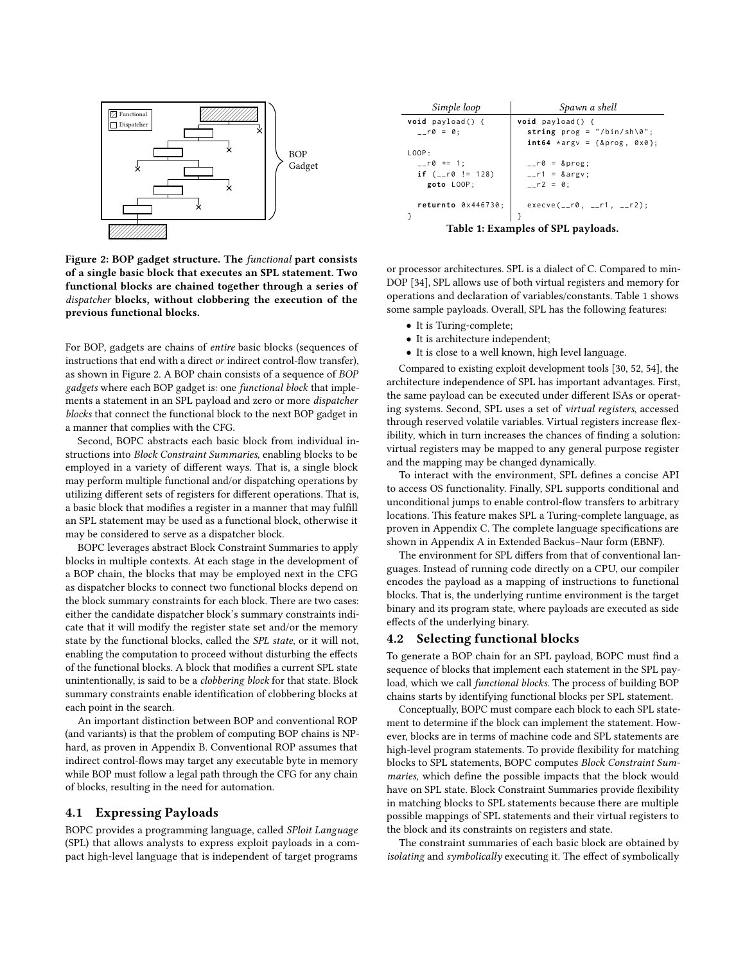<span id="page-3-0"></span>

Figure 2: BOP gadget structure. The functional part consists of a single basic block that executes an SPL statement. Two functional blocks are chained together through a series of dispatcher blocks, without clobbering the execution of the previous functional blocks.

For BOP, gadgets are chains of entire basic blocks (sequences of instructions that end with a direct or indirect control-flow transfer), as shown in [Figure 2.](#page-3-0) A BOP chain consists of a sequence of BOP gadgets where each BOP gadget is: one functional block that implements a statement in an SPL payload and zero or more dispatcher blocks that connect the functional block to the next BOP gadget in a manner that complies with the CFG.

Second, BOPC abstracts each basic block from individual instructions into Block Constraint Summaries, enabling blocks to be employed in a variety of different ways. That is, a single block may perform multiple functional and/or dispatching operations by utilizing different sets of registers for different operations. That is, a basic block that modifies a register in a manner that may fulfill an SPL statement may be used as a functional block, otherwise it may be considered to serve as a dispatcher block.

BOPC leverages abstract Block Constraint Summaries to apply blocks in multiple contexts. At each stage in the development of a BOP chain, the blocks that may be employed next in the CFG as dispatcher blocks to connect two functional blocks depend on the block summary constraints for each block. There are two cases: either the candidate dispatcher block's summary constraints indicate that it will modify the register state set and/or the memory state by the functional blocks, called the SPL state, or it will not, enabling the computation to proceed without disturbing the effects of the functional blocks. A block that modifies a current SPL state unintentionally, is said to be a clobbering block for that state. Block summary constraints enable identification of clobbering blocks at each point in the search.

An important distinction between BOP and conventional ROP (and variants) is that the problem of computing BOP chains is NPhard, as proven in [Appendix B.](#page-13-6) Conventional ROP assumes that indirect control-flows may target any executable byte in memory while BOP must follow a legal path through the CFG for any chain of blocks, resulting in the need for automation.

#### 4.1 Expressing Payloads

BOPC provides a programming language, called SPloit Language (SPL) that allows analysts to express exploit payloads in a compact high-level language that is independent of target programs

<span id="page-3-1"></span>

| Simple loop                        | Spawn a shell                       |  |  |  |
|------------------------------------|-------------------------------------|--|--|--|
| $void$ payload() {                 | <b>void</b> $payload()$ {           |  |  |  |
| $- r \theta = 0$ ;                 | string $prog = "/bin(sh \0",$       |  |  |  |
|                                    | $int64 \times argv = {8prog, 0x0};$ |  |  |  |
| LOOP:                              |                                     |  |  |  |
| $_{--}$ r0 += 1;                   | $_{--}$ r0 = &prog                  |  |  |  |
| if $($ - r0 $!=$ 128)              | $_{--}$ r1 = &argv                  |  |  |  |
| goto LOOP;                         | $-r2 = 0$ ;                         |  |  |  |
|                                    |                                     |  |  |  |
| returnto $0 \times 446730$ ;       | $execve(\_r0, \_r1, \_r2);$         |  |  |  |
|                                    |                                     |  |  |  |
| Table 1: Examples of SPL payloads. |                                     |  |  |  |

or processor architectures. SPL is a dialect of C. Compared to min-DOP [\[34\]](#page-12-39), SPL allows use of both virtual registers and memory for operations and declaration of variables/constants. [Table 1](#page-3-1) shows some sample payloads. Overall, SPL has the following features:

- It is Turing-complete;
- It is architecture independent;
- It is close to a well known, high level language.

Compared to existing exploit development tools [\[30,](#page-12-26) [52,](#page-12-28) [54\]](#page-12-29), the architecture independence of SPL has important advantages. First, the same payload can be executed under different ISAs or operating systems. Second, SPL uses a set of virtual registers, accessed through reserved volatile variables. Virtual registers increase flexibility, which in turn increases the chances of finding a solution: virtual registers may be mapped to any general purpose register and the mapping may be changed dynamically.

To interact with the environment, SPL defines a concise API to access OS functionality. Finally, SPL supports conditional and unconditional jumps to enable control-flow transfers to arbitrary locations. This feature makes SPL a Turing-complete language, as proven in [Appendix C.](#page-14-1) The complete language specifications are shown in [Appendix A](#page-13-7) in Extended Backus–Naur form (EBNF).

The environment for SPL differs from that of conventional languages. Instead of running code directly on a CPU, our compiler encodes the payload as a mapping of instructions to functional blocks. That is, the underlying runtime environment is the target binary and its program state, where payloads are executed as side effects of the underlying binary.

#### <span id="page-3-2"></span>4.2 Selecting functional blocks

To generate a BOP chain for an SPL payload, BOPC must find a sequence of blocks that implement each statement in the SPL payload, which we call functional blocks. The process of building BOP chains starts by identifying functional blocks per SPL statement.

Conceptually, BOPC must compare each block to each SPL statement to determine if the block can implement the statement. However, blocks are in terms of machine code and SPL statements are high-level program statements. To provide flexibility for matching blocks to SPL statements, BOPC computes Block Constraint Summaries, which define the possible impacts that the block would have on SPL state. Block Constraint Summaries provide flexibility in matching blocks to SPL statements because there are multiple possible mappings of SPL statements and their virtual registers to the block and its constraints on registers and state.

The constraint summaries of each basic block are obtained by isolating and symbolically executing it. The effect of symbolically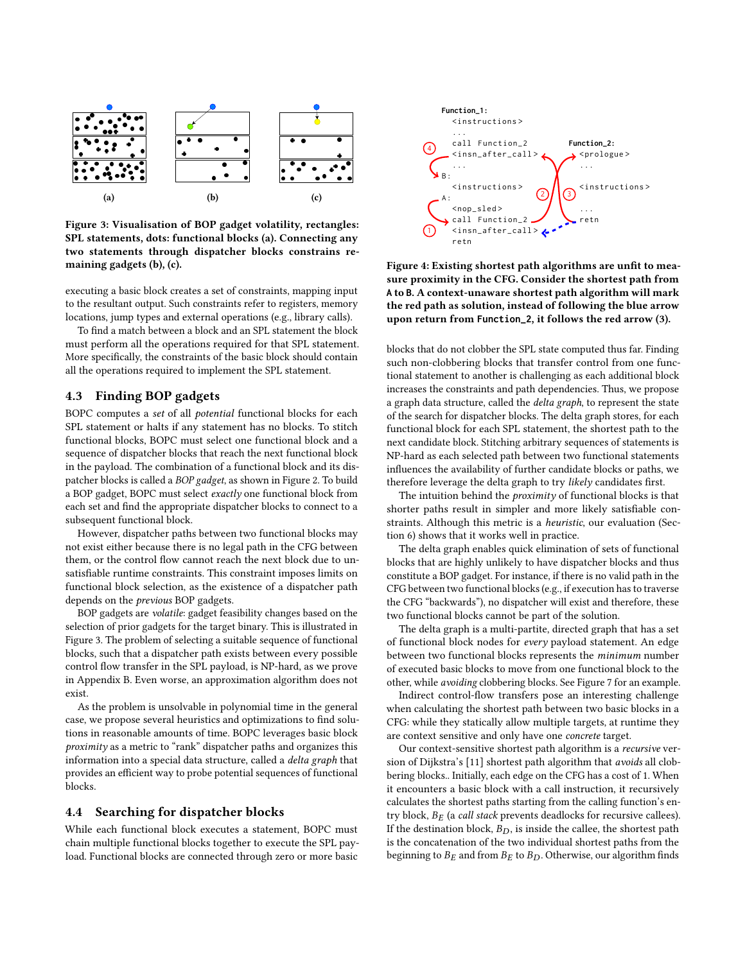<span id="page-4-0"></span>

Figure 3: Visualisation of BOP gadget volatility, rectangles: SPL statements, dots: functional blocks (a). Connecting any two statements through dispatcher blocks constrains remaining gadgets (b), (c).

executing a basic block creates a set of constraints, mapping input to the resultant output. Such constraints refer to registers, memory locations, jump types and external operations (e.g., library calls).

To find a match between a block and an SPL statement the block must perform all the operations required for that SPL statement. More specifically, the constraints of the basic block should contain all the operations required to implement the SPL statement.

# 4.3 Finding BOP gadgets

BOPC computes a set of all potential functional blocks for each SPL statement or halts if any statement has no blocks. To stitch functional blocks, BOPC must select one functional block and a sequence of dispatcher blocks that reach the next functional block in the payload. The combination of a functional block and its dispatcher blocks is called a BOP gadget, as shown in [Figure 2.](#page-3-0) To build a BOP gadget, BOPC must select exactly one functional block from each set and find the appropriate dispatcher blocks to connect to a subsequent functional block.

However, dispatcher paths between two functional blocks may not exist either because there is no legal path in the CFG between them, or the control flow cannot reach the next block due to unsatisfiable runtime constraints. This constraint imposes limits on functional block selection, as the existence of a dispatcher path depends on the previous BOP gadgets.

BOP gadgets are volatile: gadget feasibility changes based on the selection of prior gadgets for the target binary. This is illustrated in [Figure 3.](#page-4-0) The problem of selecting a suitable sequence of functional blocks, such that a dispatcher path exists between every possible control flow transfer in the SPL payload, is NP-hard, as we prove in [Appendix B.](#page-13-6) Even worse, an approximation algorithm does not exist.

As the problem is unsolvable in polynomial time in the general case, we propose several heuristics and optimizations to find solutions in reasonable amounts of time. BOPC leverages basic block proximity as a metric to "rank" dispatcher paths and organizes this information into a special data structure, called a delta graph that provides an efficient way to probe potential sequences of functional blocks.

#### <span id="page-4-1"></span>4.4 Searching for dispatcher blocks

While each functional block executes a statement, BOPC must chain multiple functional blocks together to execute the SPL payload. Functional blocks are connected through zero or more basic



Figure 4: Existing shortest path algorithms are unfit to measure proximity in the CFG. Consider the shortest path from **A** to **B**. A context-unaware shortest path algorithm will mark the red path as solution, instead of following the blue arrow upon return from **Function\_2**, it follows the red arrow (3).

blocks that do not clobber the SPL state computed thus far. Finding such non-clobbering blocks that transfer control from one functional statement to another is challenging as each additional block increases the constraints and path dependencies. Thus, we propose a graph data structure, called the delta graph, to represent the state of the search for dispatcher blocks. The delta graph stores, for each functional block for each SPL statement, the shortest path to the next candidate block. Stitching arbitrary sequences of statements is NP-hard as each selected path between two functional statements influences the availability of further candidate blocks or paths, we therefore leverage the delta graph to try likely candidates first.

The intuition behind the *proximity* of functional blocks is that shorter paths result in simpler and more likely satisfiable constraints. Although this metric is a heuristic, our evaluation [\(Sec](#page-8-0)[tion 6\)](#page-8-0) shows that it works well in practice.

The delta graph enables quick elimination of sets of functional blocks that are highly unlikely to have dispatcher blocks and thus constitute a BOP gadget. For instance, if there is no valid path in the CFG between two functional blocks (e.g., if execution has to traverse the CFG "backwards"), no dispatcher will exist and therefore, these two functional blocks cannot be part of the solution.

The delta graph is a multi-partite, directed graph that has a set of functional block nodes for every payload statement. An edge between two functional blocks represents the minimum number of executed basic blocks to move from one functional block to the other, while avoiding clobbering blocks. See [Figure 7](#page-11-0) for an example.

Indirect control-flow transfers pose an interesting challenge when calculating the shortest path between two basic blocks in a CFG: while they statically allow multiple targets, at runtime they are context sensitive and only have one concrete target.

Our context-sensitive shortest path algorithm is a recursive ver-sion of Dijkstra's [\[11\]](#page-12-41) shortest path algorithm that avoids all clobbering blocks.. Initially, each edge on the CFG has a cost of 1. When it encounters a basic block with a call instruction, it recursively calculates the shortest paths starting from the calling function's entry block,  $B_E$  (a *call stack* prevents deadlocks for recursive callees). If the destination block,  $B_D$ , is inside the callee, the shortest path is the concatenation of the two individual shortest paths from the beginning to  $B_E$  and from  $B_E$  to  $B_D$ . Otherwise, our algorithm finds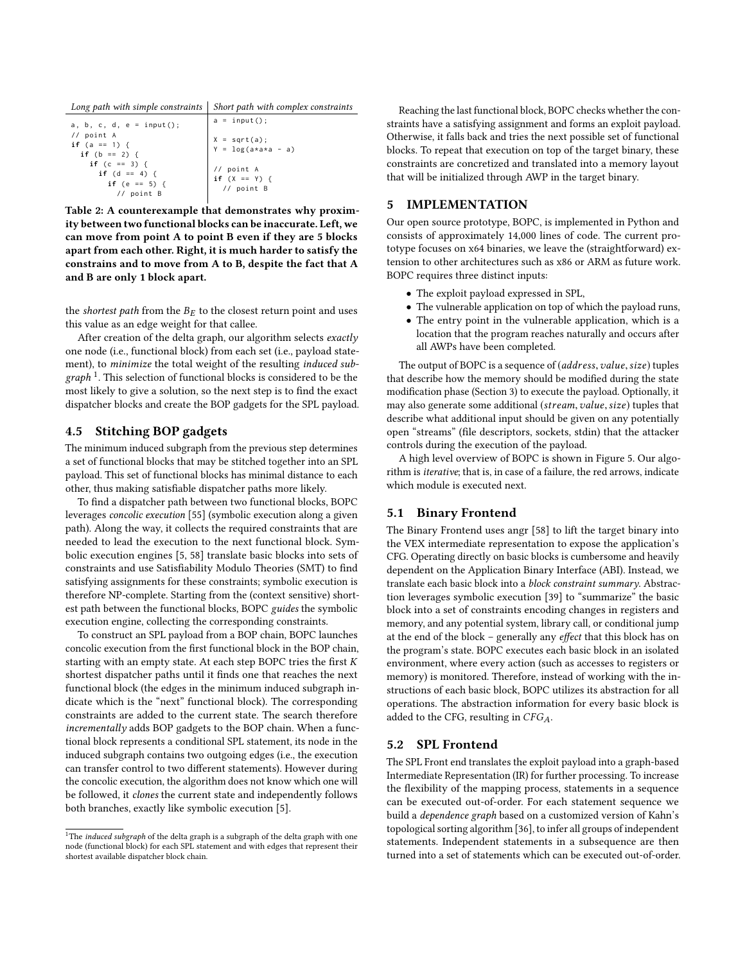| Long path with simple constraints $ $ Short path with complex constraints |
|---------------------------------------------------------------------------|
|---------------------------------------------------------------------------|

| a, b, c, d, $e = input()$ ;                                       | $a = input()$ ;                           |
|-------------------------------------------------------------------|-------------------------------------------|
| // point A<br>if $(a == 1)$ {<br>if $(b == 2)$ {                  | $X = sqrt(a);$<br>$Y = log(a*a*a - a)$    |
| if $(c == 3)$ {<br>if $(d == 4)$ {<br>if (e == 5) {<br>// point B | // point A<br>$if (X == Y)$<br>// point B |

Table 2: A counterexample that demonstrates why proximity between two functional blocks can be inaccurate. Left, we can move from point A to point B even if they are 5 blocks apart from each other. Right, it is much harder to satisfy the constrains and to move from A to B, despite the fact that A and B are only 1 block apart.

the shortest path from the  $B_E$  to the closest return point and uses this value as an edge weight for that callee.

After creation of the delta graph, our algorithm selects exactly one node (i.e., functional block) from each set (i.e., payload statement), to minimize the total weight of the resulting induced sub $graph$ <sup>[1](#page-5-0)</sup>. This selection of functional blocks is considered to be the most likely to give a solution, so the next step is to find the exact dispatcher blocks and create the BOP gadgets for the SPL payload.

## 4.5 Stitching BOP gadgets

The minimum induced subgraph from the previous step determines a set of functional blocks that may be stitched together into an SPL payload. This set of functional blocks has minimal distance to each other, thus making satisfiable dispatcher paths more likely.

To find a dispatcher path between two functional blocks, BOPC leverages concolic execution [\[55\]](#page-12-42) (symbolic execution along a given path). Along the way, it collects the required constraints that are needed to lead the execution to the next functional block. Symbolic execution engines [\[5,](#page-12-43) [58\]](#page-12-44) translate basic blocks into sets of constraints and use Satisfiability Modulo Theories (SMT) to find satisfying assignments for these constraints; symbolic execution is therefore NP-complete. Starting from the (context sensitive) shortest path between the functional blocks, BOPC guides the symbolic execution engine, collecting the corresponding constraints.

To construct an SPL payload from a BOP chain, BOPC launches concolic execution from the first functional block in the BOP chain, starting with an empty state. At each step BOPC tries the first  $K$ shortest dispatcher paths until it finds one that reaches the next functional block (the edges in the minimum induced subgraph indicate which is the "next" functional block). The corresponding constraints are added to the current state. The search therefore incrementally adds BOP gadgets to the BOP chain. When a functional block represents a conditional SPL statement, its node in the induced subgraph contains two outgoing edges (i.e., the execution can transfer control to two different statements). However during the concolic execution, the algorithm does not know which one will be followed, it clones the current state and independently follows both branches, exactly like symbolic execution [\[5\]](#page-12-43).

Reaching the last functional block, BOPC checks whether the constraints have a satisfying assignment and forms an exploit payload. Otherwise, it falls back and tries the next possible set of functional blocks. To repeat that execution on top of the target binary, these constraints are concretized and translated into a memory layout that will be initialized through AWP in the target binary.

## 5 IMPLEMENTATION

Our open source prototype, BOPC, is implemented in Python and consists of approximately <sup>14</sup>,<sup>000</sup> lines of code. The current prototype focuses on x64 binaries, we leave the (straightforward) extension to other architectures such as x86 or ARM as future work. BOPC requires three distinct inputs:

- The exploit payload expressed in SPL,
- The vulnerable application on top of which the payload runs,
- The entry point in the vulnerable application, which is a location that the program reaches naturally and occurs after all AWPs have been completed.

The output of BOPC is a sequence of (address, value, size) tuples that describe how the memory should be modified during the state modification phase [\(Section 3\)](#page-2-1) to execute the payload. Optionally, it may also generate some additional (stream, value, size) tuples that describe what additional input should be given on any potentially open "streams" (file descriptors, sockets, stdin) that the attacker controls during the execution of the payload.

A high level overview of BOPC is shown in [Figure 5.](#page-6-0) Our algorithm is iterative; that is, in case of a failure, the red arrows, indicate which module is executed next.

## 5.1 Binary Frontend

The Binary Frontend uses angr [\[58\]](#page-12-44) to lift the target binary into the VEX intermediate representation to expose the application's CFG. Operating directly on basic blocks is cumbersome and heavily dependent on the Application Binary Interface (ABI). Instead, we translate each basic block into a block constraint summary. Abstraction leverages symbolic execution [\[39\]](#page-12-45) to "summarize" the basic block into a set of constraints encoding changes in registers and memory, and any potential system, library call, or conditional jump at the end of the block – generally any effect that this block has on the program's state. BOPC executes each basic block in an isolated environment, where every action (such as accesses to registers or memory) is monitored. Therefore, instead of working with the instructions of each basic block, BOPC utilizes its abstraction for all operations. The abstraction information for every basic block is added to the CFG, resulting in  $CFG<sub>A</sub>$ .

#### <span id="page-5-1"></span>5.2 SPL Frontend

The SPL Front end translates the exploit payload into a graph-based Intermediate Representation (IR) for further processing. To increase the flexibility of the mapping process, statements in a sequence can be executed out-of-order. For each statement sequence we build a dependence graph based on a customized version of Kahn's topological sorting algorithm [\[36\]](#page-12-46), to infer all groups of independent statements. Independent statements in a subsequence are then turned into a set of statements which can be executed out-of-order.

<span id="page-5-0"></span> $^1\mathrm{The}\text{ }\textit{induced}\text{ }\textit{subgraph}$  of the delta graph is a subgraph of the delta graph with one node (functional block) for each SPL statement and with edges that represent their shortest available dispatcher block chain.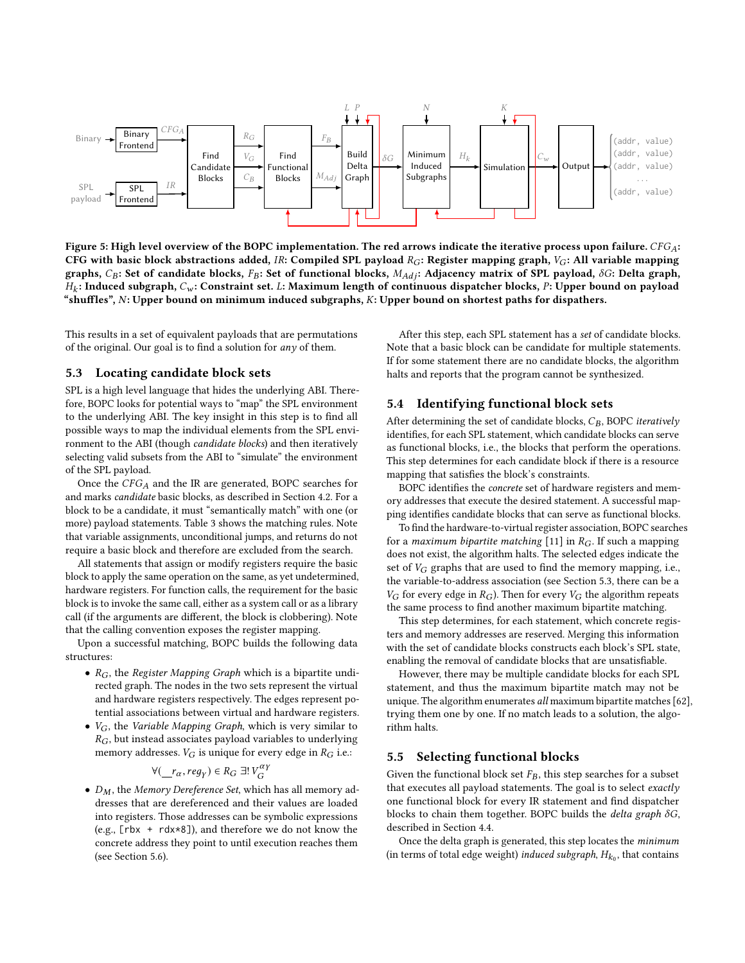<span id="page-6-0"></span>

Figure 5: High level overview of the BOPC implementation. The red arrows indicate the iterative process upon failure.  $CFG_A$ : CFG with basic block abstractions added, IR: Compiled SPL payload  $R_G$ : Register mapping graph,  $V_G$ : All variable mapping graphs, CB: Set of candidate blocks, FB: Set of functional blocks,  $M_{Adj}$ : Adjacency matrix of SPL payload,  $\delta G$ : Delta graph, "shuffles", N: Upper bound on minimum induced subgraphs, K: Upper bound on shortest paths for dispathers.  $H_k$ : Induced subgraph,  $C_w$ : Constraint set. L: Maximum length of continuous dispatcher blocks, P: Upper bound on payload

This results in a set of equivalent payloads that are permutations of the original. Our goal is to find a solution for any of them.

#### <span id="page-6-1"></span>5.3 Locating candidate block sets

SPL is a high level language that hides the underlying ABI. Therefore, BOPC looks for potential ways to "map" the SPL environment to the underlying ABI. The key insight in this step is to find all possible ways to map the individual elements from the SPL environment to the ABI (though candidate blocks) and then iteratively selecting valid subsets from the ABI to "simulate" the environment of the SPL payload.

Once the  $CFG_A$  and the IR are generated, BOPC searches for and marks candidate basic blocks, as described in [Section 4.2.](#page-3-2) For a block to be a candidate, it must "semantically match" with one (or more) payload statements. [Table 3](#page-7-0) shows the matching rules. Note that variable assignments, unconditional jumps, and returns do not require a basic block and therefore are excluded from the search.

All statements that assign or modify registers require the basic block to apply the same operation on the same, as yet undetermined, hardware registers. For function calls, the requirement for the basic block is to invoke the same call, either as a system call or as a library call (if the arguments are different, the block is clobbering). Note that the calling convention exposes the register mapping.

Upon a successful matching, BOPC builds the following data structures:

- $R_G$ , the Register Mapping Graph which is a bipartite undirected graph. The nodes in the two sets represent the virtual and hardware registers respectively. The edges represent potential associations between virtual and hardware registers.
- $V_G$ , the Variable Mapping Graph, which is very similar to  $R_G$ , but instead associates payload variables to underlying memory addresses.  $V_G$  is unique for every edge in  $R_G$  i.e.:

$$
\forall (\underline{r}_\alpha, \text{reg}_Y) \in R_G \exists! V_G^{\alpha Y}
$$

 $\forall (\_\, r_\alpha, \text{reg}_Y) \in R_G \exists! V_G^{\alpha \gamma}$ <br>
•  $D_M$ , the Memory Dereference Set, which has all memory ad-<br>
dresses that are dereferenced and their values are loaded dresses that are dereferenced and their values are loaded into registers. Those addresses can be symbolic expressions (e.g., [rbx + rdx\*8]), and therefore we do not know the concrete address they point to until execution reaches them (see [Section 5.6\)](#page-7-1).

After this step, each SPL statement has a set of candidate blocks. Note that a basic block can be candidate for multiple statements. If for some statement there are no candidate blocks, the algorithm halts and reports that the program cannot be synthesized.

#### <span id="page-6-2"></span>5.4 Identifying functional block sets

After determining the set of candidate blocks,  $C_B$ , BOPC iteratively identifies, for each SPL statement, which candidate blocks can serve as functional blocks, i.e., the blocks that perform the operations. This step determines for each candidate block if there is a resource mapping that satisfies the block's constraints.

BOPC identifies the concrete set of hardware registers and memory addresses that execute the desired statement. A successful mapping identifies candidate blocks that can serve as functional blocks.

To find the hardware-to-virtual register association, BOPC searches for a maximum bipartite matching [\[11\]](#page-12-41) in  $R_G$ . If such a mapping does not exist, the algorithm halts. The selected edges indicate the set of  $V_G$  graphs that are used to find the memory mapping, i.e., the variable-to-address association (see [Section 5.3,](#page-6-1) there can be a  $V_G$  for every edge in  $R_G$ ). Then for every  $V_G$  the algorithm repeats the same process to find another maximum bipartite matching.

This step determines, for each statement, which concrete registers and memory addresses are reserved. Merging this information with the set of candidate blocks constructs each block's SPL state, enabling the removal of candidate blocks that are unsatisfiable.

However, there may be multiple candidate blocks for each SPL statement, and thus the maximum bipartite match may not be unique. The algorithm enumerates all maximum bipartite matches [\[62\]](#page-13-8), trying them one by one. If no match leads to a solution, the algorithm halts.

#### 5.5 Selecting functional blocks

Given the functional block set  $F_B$ , this step searches for a subset that executes all payload statements. The goal is to select exactly one functional block for every IR statement and find dispatcher blocks to chain them together. BOPC builds the delta graph  $\delta G$ , described in [Section 4.4.](#page-4-1)

Once the delta graph is generated, this step locates the minimum (in terms of total edge weight) *induced subgraph*,  $H_{k_0}$ , that contains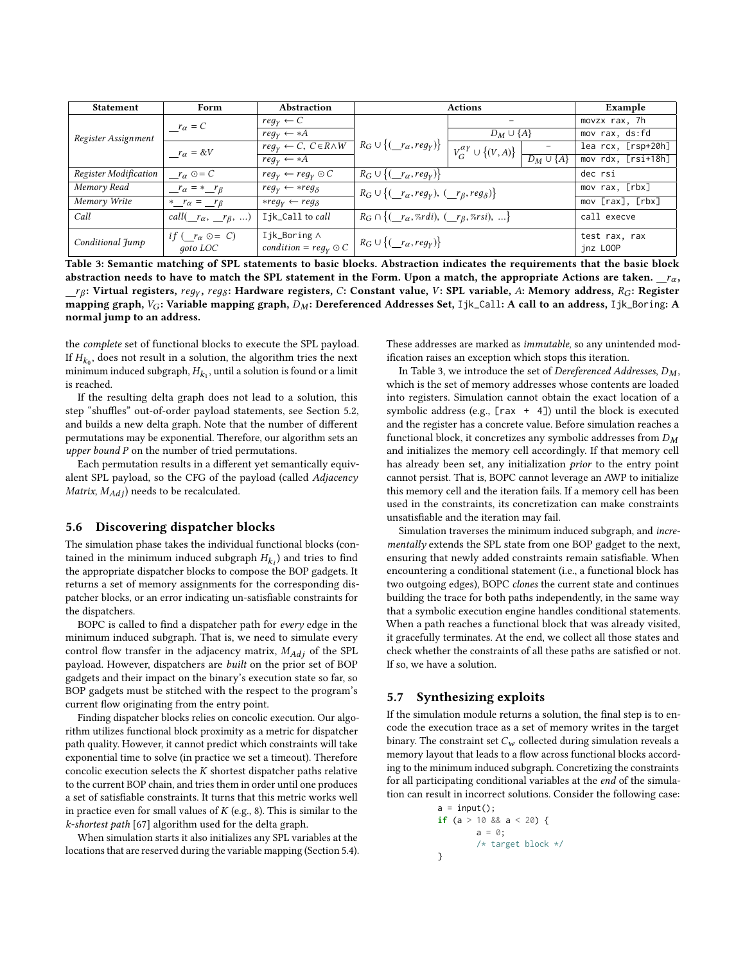<span id="page-7-0"></span>

| <b>Statement</b>                                                                                                          | Form                                       | <b>Abstraction</b>                                 |                                                                                                            | <b>Actions</b>                        |                          | Example                   |  |
|---------------------------------------------------------------------------------------------------------------------------|--------------------------------------------|----------------------------------------------------|------------------------------------------------------------------------------------------------------------|---------------------------------------|--------------------------|---------------------------|--|
|                                                                                                                           | $r_{\alpha} = C$                           | $reg_v \leftarrow C$                               |                                                                                                            |                                       |                          | movzx rax, 7h             |  |
| Register Assignment                                                                                                       |                                            | $req_V \leftarrow *A$                              |                                                                                                            | $D_M \cup \{A\}$                      |                          | mov rax, ds:fd            |  |
|                                                                                                                           | $r_{\alpha} = \&V$                         | $reg_Y \leftarrow \overline{C, C \in R \wedge W}$  | $R_G \cup \{(\underline{r}_\alpha, \text{reg}_\gamma)\}\$                                                  | $V_G^{\alpha\gamma} \cup \{(V,A)\}\;$ |                          | lea rcx, [rsp+20h]        |  |
|                                                                                                                           |                                            | $req_V \leftarrow *A$                              |                                                                                                            |                                       | $\boxed{D_M \cup \{A\}}$ | mov rdx, [rsi+18h]        |  |
| Register Modification                                                                                                     | $r_{\alpha} \odot = C$                     | $reg_v \leftarrow reg_v \odot C$                   | $R_G \cup \{(\underline{r}_\alpha, \text{reg}_Y)\}\$                                                       |                                       |                          | dec rsi                   |  |
| Memory Read                                                                                                               | $r_{\alpha} = \pm r_{\beta}$               | $reg_Y \leftarrow \ast reg_{\delta}$               | $R_G \cup \{(\_\textit{r}_\alpha,\textit{reg}_Y), (\_\textit{r}_\beta,\textit{reg}_\delta)\}\$             |                                       | mov rax, [rbx]           |                           |  |
| Memory Write                                                                                                              | *_ $r_{\alpha}$ = _ $r_{\beta}$            | $*reqV ← regδ$                                     |                                                                                                            |                                       |                          | mov [rax], [rbx]          |  |
| Call                                                                                                                      | call $(\_\,r_\alpha,\_\,r_\beta,\,\ldots)$ | I jk_Call to call                                  | $R_G \cap \{(\underline{r}_\alpha, \mathcal{Z}_r d_i), (\underline{r}_\beta, \mathcal{Z}_r s_i), \ldots\}$ |                                       |                          | call execve               |  |
| Conditional Jump                                                                                                          | if $(r_{\alpha} \odot = C)$<br>goto LOC    | Ijk_Boring $\wedge$<br>$condition = reg_Y \odot C$ | $R_G \cup \{(\underline{r}_\alpha, \text{reg}_Y)\}\$                                                       |                                       |                          | test rax, rax<br>inz LOOP |  |
| Table 3: Semantic matching of SPL statements to basic blocks. Abstraction indicates the requirements that the basic block |                                            |                                                    |                                                                                                            |                                       |                          |                           |  |

abstraction needs to have to match the SPL statement in the Form. Upon a match, the appropriate Actions are taken.  $r_a$  $r_{\rm B}$  in prime and the mapping graph,  $D_M$ : Dereferenced Addresses Set, Ijk\_Call: A call to an address, Ijk\_Boring: A marmal jumn to an address : Virtual registers,  $reg_y$ , reg<sub>ô</sub>: Hardware registers, C: Constant value, V: SPL variable, A: Memory address, R<sub>G</sub>: Register<br>ning graph Vo: Variable manning graph Dv.: Dereferenced Addresses Set Jik Call: A call to an add normal jump to an address.

the complete set of functional blocks to execute the SPL payload. If  $H_{k_0}$ , does not result in a solution, the algorithm tries the next<br>minimum induced subgraph  $H_1$ , until a solution is found or a limit minimum induced subgraph,  $H_{k_1}$ , until a solution is found or a limit<br>is reached is reached.

If the resulting delta graph does not lead to a solution, this step "shuffles" out-of-order payload statements, see [Section 5.2,](#page-5-1) and builds a new delta graph. Note that the number of different permutations may be exponential. Therefore, our algorithm sets an upper bound P on the number of tried permutations.

Each permutation results in a different yet semantically equivalent SPL payload, so the CFG of the payload (called Adjacency Matrix,  $M_{Adj}$ ) needs to be recalculated.

# <span id="page-7-1"></span>5.6 Discovering dispatcher blocks

The simulation phase takes the individual functional blocks (contained in the minimum induced subgraph  $H_{k_i}$ ) and tries to find<br>the appropriate dispatcher blocks to compose the BOP gadgets. It the appropriate dispatcher blocks to compose the BOP gadgets. It returns a set of memory assignments for the corresponding dispatcher blocks, or an error indicating un-satisfiable constraints for the dispatchers.

BOPC is called to find a dispatcher path for every edge in the minimum induced subgraph. That is, we need to simulate every control flow transfer in the adjacency matrix,  $M_{Ad}$  of the SPL payload. However, dispatchers are built on the prior set of BOP gadgets and their impact on the binary's execution state so far, so BOP gadgets must be stitched with the respect to the program's current flow originating from the entry point.

Finding dispatcher blocks relies on concolic execution. Our algorithm utilizes functional block proximity as a metric for dispatcher path quality. However, it cannot predict which constraints will take exponential time to solve (in practice we set a timeout). Therefore concolic execution selects the  $K$  shortest dispatcher paths relative to the current BOP chain, and tries them in order until one produces a set of satisfiable constraints. It turns that this metric works well in practice even for small values of  $K$  (e.g., 8). This is similar to the k-shortest path [\[67\]](#page-13-9) algorithm used for the delta graph.

When simulation starts it also initializes any SPL variables at the locations that are reserved during the variable mapping [\(Section 5.4\)](#page-6-2). These addresses are marked as immutable, so any unintended modification raises an exception which stops this iteration.

In [Table 3,](#page-7-0) we introduce the set of Dereferenced Addresses,  $D_M$ , which is the set of memory addresses whose contents are loaded into registers. Simulation cannot obtain the exact location of a symbolic address (e.g.,  $[\text{rax } + 4]$ ) until the block is executed and the register has a concrete value. Before simulation reaches a functional block, it concretizes any symbolic addresses from  $D_M$ and initializes the memory cell accordingly. If that memory cell has already been set, any initialization prior to the entry point cannot persist. That is, BOPC cannot leverage an AWP to initialize this memory cell and the iteration fails. If a memory cell has been used in the constraints, its concretization can make constraints unsatisfiable and the iteration may fail.

Simulation traverses the minimum induced subgraph, and incrementally extends the SPL state from one BOP gadget to the next, ensuring that newly added constraints remain satisfiable. When encountering a conditional statement (i.e., a functional block has two outgoing edges), BOPC clones the current state and continues building the trace for both paths independently, in the same way that a symbolic execution engine handles conditional statements. When a path reaches a functional block that was already visited, it gracefully terminates. At the end, we collect all those states and check whether the constraints of all these paths are satisfied or not. If so, we have a solution.

#### 5.7 Synthesizing exploits

If the simulation module returns a solution, the final step is to encode the execution trace as a set of memory writes in the target binary. The constraint set  $C_w$  collected during simulation reveals a memory layout that leads to a flow across functional blocks according to the minimum induced subgraph. Concretizing the constraints for all participating conditional variables at the end of the simulation can result in incorrect solutions. Consider the following case:

```
a = input();
if (a > 10 && a < 20) {
       a = 0:
        /* target block */
}
```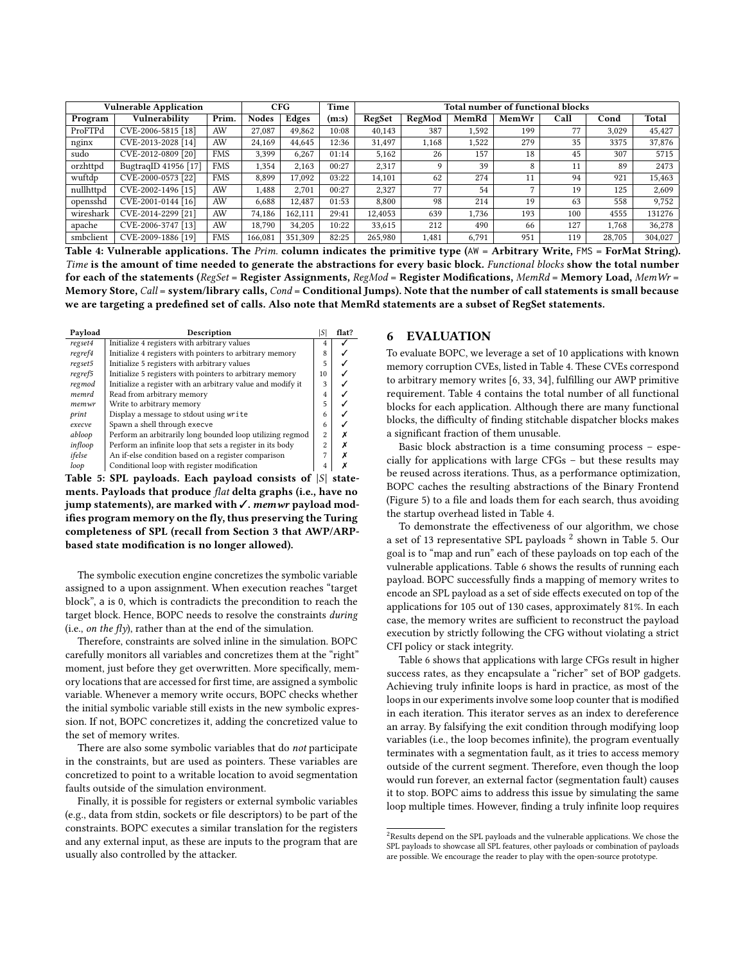<span id="page-8-1"></span>

| <b>Vulnerable Application</b> |                      | CFG        | Time         | Total number of functional blocks |       |         |        |       |       |      |        |         |
|-------------------------------|----------------------|------------|--------------|-----------------------------------|-------|---------|--------|-------|-------|------|--------|---------|
| Program                       | Vulnerability        | Prim.      | <b>Nodes</b> | Edges                             | (m:s) | RegSet  | RegMod | MemRd | MemWr | Call | Cond   | Total   |
| ProFTPd                       | CVE-2006-5815 [18]   | AW         | 27,087       | 49.862                            | 10:08 | 40.143  | 387    | 1.592 | 199   | 77   | 3.029  | 45.427  |
| nginx                         | CVE-2013-2028 [14]   | AW         | 24.169       | 44.645                            | 12:36 | 31.497  | 1,168  | 1,522 | 279   | 35   | 3375   | 37,876  |
| sudo                          | CVE-2012-0809 [20]   | <b>FMS</b> | 3.399        | 6.267                             | 01:14 | 5.162   | 26     | 157   | 18    | 45   | 307    | 5715    |
| orzhttpd                      | BugtraqID 41956 [17] | <b>FMS</b> | 1.354        | 2.163                             | 00:27 | 2,317   | Q      | 39    | 8     | 11   | 89     | 2473    |
| wuftdp                        | CVE-2000-0573 [22]   | <b>FMS</b> | 8.899        | 17.092                            | 03:22 | 14,101  | 62     | 274   | 11    | 94   | 921    | 15,463  |
| nullhttpd                     | CVE-2002-1496 [15]   | AW         | 1,488        | 2,701                             | 00:27 | 2,327   | 77     | 54    | Η,    | 19   | 125    | 2,609   |
| opensshd                      | CVE-2001-0144 [16]   | AW         | 6.688        | 12.487                            | 01:53 | 8.800   | 98     | 214   | 19    | 63   | 558    | 9.752   |
| wireshark                     | CVE-2014-2299 [21]   | AW         | 74.186       | 162.111                           | 29:41 | 12,4053 | 639    | 1.736 | 193   | 100  | 4555   | 131276  |
| apache                        | CVE-2006-3747 [13]   | AW         | 18.790       | 34,205                            | 10:22 | 33,615  | 212    | 490   | 66    | 127  | 1.768  | 36,278  |
| smbclient                     | CVE-2009-1886 [19]   | <b>FMS</b> | 166.081      | 351.309                           | 82:25 | 265,980 | 1,481  | 6.791 | 951   | 119  | 28,705 | 304,027 |

Table 4: Vulnerable applications. The Prim. column indicates the primitive type (AW = Arbitrary Write, FMS = ForMat String). Time is the amount of time needed to generate the abstractions for every basic block. Functional blocks show the total number for each of the statements ( $RegSet = Register$  Assignments,  $RegMod = Register$  Modifications,  $MemRd = Memory$  Load,  $MemWr =$ Memory Store, Call = system/library calls, Cond = Conditional Jumps). Note that the number of call statements is small because we are targeting a predefined set of calls. Also note that MemRd statements are a subset of RegSet statements.

<span id="page-8-3"></span>

| Payload | Description                                                 |                | flat? |
|---------|-------------------------------------------------------------|----------------|-------|
| regset4 | Initialize 4 registers with arbitrary values                | 4              |       |
| regref4 | Initialize 4 registers with pointers to arbitrary memory    | 8              |       |
| regset5 | Initialize 5 registers with arbitrary values                | 5              |       |
| regref5 | Initialize 5 registers with pointers to arbitrary memory    | 10             |       |
| regmod  | Initialize a register with an arbitrary value and modify it | 3              |       |
| memrd   | Read from arbitrary memory                                  | 4              |       |
| memwr   | Write to arbitrary memory                                   | 5              |       |
| print   | Display a message to stdout using write                     | 6              |       |
| execve  | Spawn a shell through execve                                | 6              |       |
| abloop  | Perform an arbitrarily long bounded loop utilizing regmod   | $\overline{c}$ |       |
| infloop | Perform an infinite loop that sets a register in its body   | $\mathfrak{D}$ |       |
| ifelse  | An if-else condition based on a register comparison         | 7              |       |
| loop    | Conditional loop with register modification                 | 4              |       |

Table 5: SPL payloads. Each payload consists of  $|S|$  statements. Payloads that produce flat delta graphs (i.e., have no jump statements), are marked with ✓. memwr payload modifies program memory on the fly, thus preserving the Turing completeness of SPL (recall from [Section 3](#page-2-1) that AWP/ARPbased state modification is no longer allowed).

The symbolic execution engine concretizes the symbolic variable assigned to a upon assignment. When execution reaches "target block", a is 0, which is contradicts the precondition to reach the target block. Hence, BOPC needs to resolve the constraints during (i.e., on the fly), rather than at the end of the simulation.

Therefore, constraints are solved inline in the simulation. BOPC carefully monitors all variables and concretizes them at the "right" moment, just before they get overwritten. More specifically, memory locations that are accessed for first time, are assigned a symbolic variable. Whenever a memory write occurs, BOPC checks whether the initial symbolic variable still exists in the new symbolic expression. If not, BOPC concretizes it, adding the concretized value to the set of memory writes.

There are also some symbolic variables that do not participate in the constraints, but are used as pointers. These variables are concretized to point to a writable location to avoid segmentation faults outside of the simulation environment.

Finally, it is possible for registers or external symbolic variables (e.g., data from stdin, sockets or file descriptors) to be part of the constraints. BOPC executes a similar translation for the registers and any external input, as these are inputs to the program that are usually also controlled by the attacker.

#### <span id="page-8-0"></span>6 EVALUATION

To evaluate BOPC, we leverage a set of 10 applications with known memory corruption CVEs, listed in [Table 4.](#page-8-1) These CVEs correspond to arbitrary memory writes [\[6,](#page-12-18) [33,](#page-12-57) [34\]](#page-12-39), fulfilling our AWP primitive requirement. [Table 4](#page-8-1) contains the total number of all functional blocks for each application. Although there are many functional blocks, the difficulty of finding stitchable dispatcher blocks makes a significant fraction of them unusable.

Basic block abstraction is a time consuming process – especially for applications with large CFGs – but these results may be reused across iterations. Thus, as a performance optimization, BOPC caches the resulting abstractions of the Binary Frontend [\(Figure 5\)](#page-6-0) to a file and loads them for each search, thus avoiding the startup overhead listed in [Table 4.](#page-8-1)

To demonstrate the effectiveness of our algorithm, we chose a set of 13 representative SPL payloads  $^2$  $^2$  shown in [Table 5.](#page-8-3) Our goal is to "map and run" each of these payloads on top each of the vulnerable applications. [Table 6](#page-9-0) shows the results of running each payload. BOPC successfully finds a mapping of memory writes to encode an SPL payload as a set of side effects executed on top of the applications for 105 out of 130 cases, approximately 81%. In each case, the memory writes are sufficient to reconstruct the payload execution by strictly following the CFG without violating a strict CFI policy or stack integrity.

[Table 6](#page-9-0) shows that applications with large CFGs result in higher success rates, as they encapsulate a "richer" set of BOP gadgets. Achieving truly infinite loops is hard in practice, as most of the loops in our experiments involve some loop counter that is modified in each iteration. This iterator serves as an index to dereference an array. By falsifying the exit condition through modifying loop variables (i.e., the loop becomes infinite), the program eventually terminates with a segmentation fault, as it tries to access memory outside of the current segment. Therefore, even though the loop would run forever, an external factor (segmentation fault) causes it to stop. BOPC aims to address this issue by simulating the same loop multiple times. However, finding a truly infinite loop requires

<span id="page-8-2"></span> $^{2}$  Results depend on the SPL payloads and the vulnerable applications. We chose the SPL payloads to showcase all SPL features, other payloads or combination of payloads are possible. We encourage the reader to play with the open-source prototype.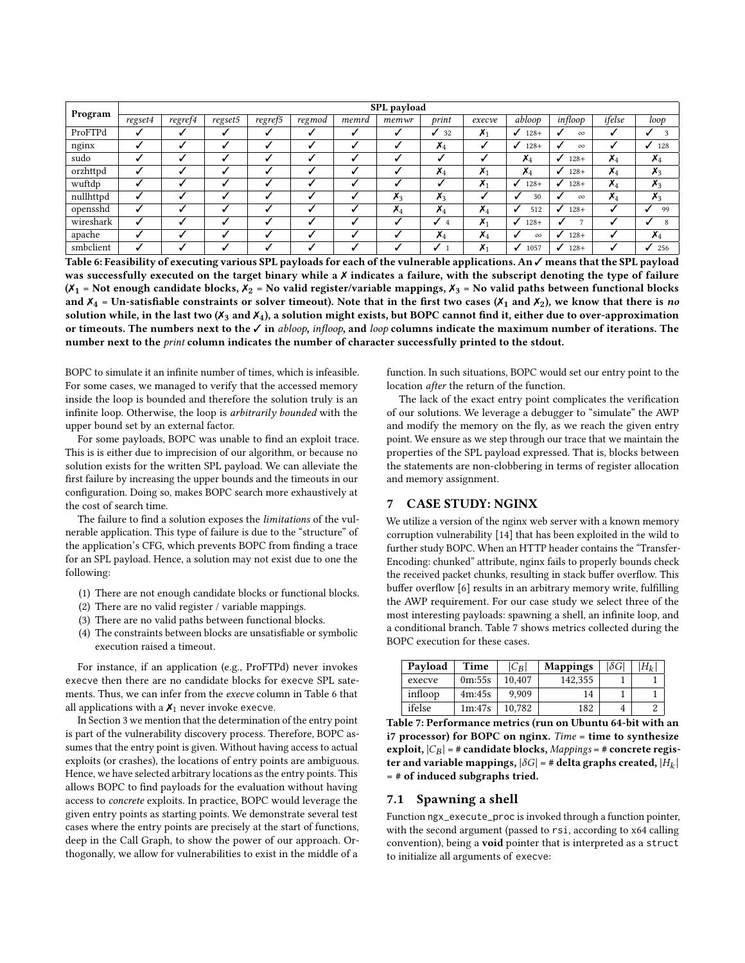<span id="page-9-0"></span>

|           |         |         |         |                      |        |       | SPL payload    |                |                    |                        |              |                          |                |
|-----------|---------|---------|---------|----------------------|--------|-------|----------------|----------------|--------------------|------------------------|--------------|--------------------------|----------------|
| Program   | regset4 | regref4 | regset5 | $regref\overline{5}$ | regmod | memrd | memwr          | print          | execve             | abloop                 | infloop      | ifelse                   | loop           |
| ProFTPd   |         |         |         |                      |        |       |                | 32             | $\chi_1$           | $128+$                 | $\infty$     |                          | 3              |
| nginx     |         |         |         |                      |        |       | ں              | $\mathsf{x}_4$ |                    | $128+$<br>$\checkmark$ | $\infty$     |                          | 128            |
| sudo      |         |         |         |                      |        |       |                |                |                    | $\mathsf{X}_4$         | $128+$<br>√  | $\boldsymbol{\lambda}_4$ | $x_4$          |
| orzhttpd  |         |         |         |                      |        |       |                | $\lambda_4$    | $\chi_1$           | $\chi_4$               | $128+$<br>√  | $\lambda_4$              | $x_3$          |
| wuftdp    |         |         |         |                      |        |       |                |                | $\boldsymbol{X}_1$ | $128+$<br>✓            | $128+$<br>√  | $X_4$                    | $x_3$          |
| nullhttpd |         |         |         |                      |        |       | $\chi_3$       | $x_3$          |                    | 30                     | $\infty$     | $\lambda_4$              | $\chi_3$       |
| opensshd  |         |         |         |                      |        |       | $\mathsf{X}_4$ | $\mathsf{X}_4$ | $\mathsf{X}_4$     | 512                    | $128+$<br>√  |                          | 99             |
| wireshark |         |         |         |                      |        |       | ں              | ℐ<br>4         | $\chi_1$           | $128+$<br>$\checkmark$ | $\mathbf{r}$ |                          | 8              |
| apache    |         |         |         |                      |        |       | ں              | $\mathsf{x}_4$ | $X_4$              | $\infty$               | $128+$       |                          | $\mathsf{x}_4$ |
| smbclient |         |         |         |                      |        |       |                | ✓              | $\boldsymbol{X}_1$ | 1057<br>✓              | $128+$<br>✓  |                          | 256            |

Table 6: Feasibility of executing various SPL payloads for each of the vulnerable applications. An ✓ means that the SPL payload was successfully executed on the target binary while a X indicates a failure, with the subscript denoting the type of failure  $(X_1 = Not enough candidate blocks, X_2 = No valid register/variable mappings, X_3 = No valid paths between functional blocks, X_3 = No valid paths, X_4 = No.$ and  $X_4$  = Un-satisfiable constraints or solver timeout). Note that in the first two cases ( $X_1$  and  $X_2$ ), we know that there is no solution while, in the last two ( $X_3$  and  $X_4$ ), a solution might exists, but BOPC cannot find it, either due to over-approximation or timeouts. The numbers next to the  $\checkmark$  in abloop, infloop, and loop columns indicate the maximum number of iterations. The number next to the print column indicates the number of character successfully printed to the stdout.

BOPC to simulate it an infinite number of times, which is infeasible. For some cases, we managed to verify that the accessed memory inside the loop is bounded and therefore the solution truly is an infinite loop. Otherwise, the loop is arbitrarily bounded with the upper bound set by an external factor.

For some payloads, BOPC was unable to find an exploit trace. This is is either due to imprecision of our algorithm, or because no solution exists for the written SPL payload. We can alleviate the first failure by increasing the upper bounds and the timeouts in our configuration. Doing so, makes BOPC search more exhaustively at the cost of search time.

The failure to find a solution exposes the *limitations* of the vulnerable application. This type of failure is due to the "structure" of the application's CFG, which prevents BOPC from finding a trace for an SPL payload. Hence, a solution may not exist due to one the following:

- (1) There are not enough candidate blocks or functional blocks.
- (2) There are no valid register / variable mappings.
- (3) There are no valid paths between functional blocks.
- (4) The constraints between blocks are unsatisfiable or symbolic execution raised a timeout.

For instance, if an application (e.g., ProFTPd) never invokes execve then there are no candidate blocks for execve SPL satements. Thus, we can infer from the execve column in [Table 6](#page-9-0) that all applications with a  $X_1$  never invoke execve.

In [Section 3](#page-2-1) we mention that the determination of the entry point is part of the vulnerability discovery process. Therefore, BOPC assumes that the entry point is given. Without having access to actual exploits (or crashes), the locations of entry points are ambiguous. Hence, we have selected arbitrary locations as the entry points. This allows BOPC to find payloads for the evaluation without having access to concrete exploits. In practice, BOPC would leverage the given entry points as starting points. We demonstrate several test cases where the entry points are precisely at the start of functions, deep in the Call Graph, to show the power of our approach. Orthogonally, we allow for vulnerabilities to exist in the middle of a

function. In such situations, BOPC would set our entry point to the location after the return of the function.

The lack of the exact entry point complicates the verification of our solutions. We leverage a debugger to "simulate" the AWP and modify the memory on the fly, as we reach the given entry point. We ensure as we step through our trace that we maintain the properties of the SPL payload expressed. That is, blocks between the statements are non-clobbering in terms of register allocation and memory assignment.

#### 7 CASE STUDY: NGINX

We utilize a version of the nginx web server with a known memory corruption vulnerability [\[14\]](#page-12-48) that has been exploited in the wild to further study BOPC. When an HTTP header contains the "Transfer-Encoding: chunked" attribute, nginx fails to properly bounds check the received packet chunks, resulting in stack buffer overflow. This buffer overflow [\[6\]](#page-12-18) results in an arbitrary memory write, fulfilling the AWP requirement. For our case study we select three of the most interesting payloads: spawning a shell, an infinite loop, and a conditional branch. [Table 7](#page-9-1) shows metrics collected during the BOPC execution for these cases.

<span id="page-9-1"></span>

| Payload | Time   | $ C_B $ | <b>Mappings</b> | $ \delta G $ | $H_k$ |
|---------|--------|---------|-----------------|--------------|-------|
| execve  | 0m:55s | 10.407  | 142.355         |              |       |
| infloop | 4m:45s | 9.909   | 14              |              |       |
| ifelse  | 1m:47s | 10.782  | 182             |              |       |

Table 7: Performance metrics (run on Ubuntu 64-bit with an i7 processor) for BOPC on nginx. Time = time to synthesize exploit,  $|C_B| = \#$  candidate blocks, Mappings =  $\#$  concrete register and variable mappings,  $|\delta G| = \#$  delta graphs created,  $|H_k|$ = # of induced subgraphs tried.

## 7.1 Spawning a shell

Function ngx\_execute\_proc is invoked through a function pointer, with the second argument (passed to rsi, according to x64 calling convention), being a void pointer that is interpreted as a struct to initialize all arguments of execve: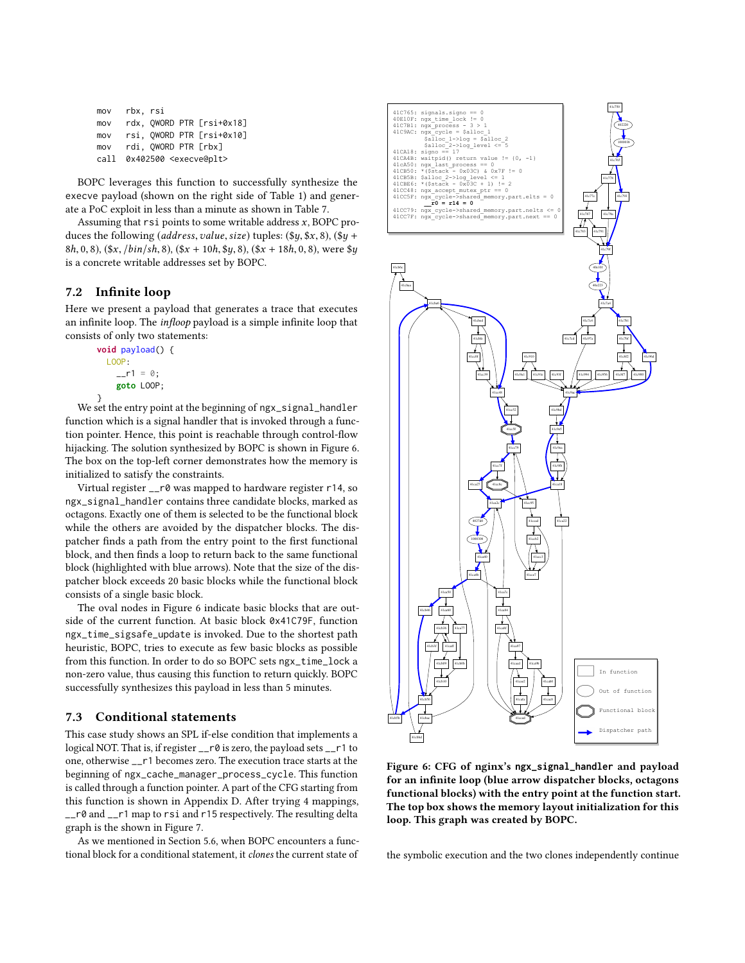| mov  | rbx, rsi |                                    |
|------|----------|------------------------------------|
| mov  |          | rdx, QWORD PTR [rsi+0x18]          |
| mov  |          | rsi, QWORD PTR [rsi+0x10]          |
| mov  |          | rdi, OWORD PTR [rbx]               |
| call |          | 0x402500 <execve@plt></execve@plt> |

BOPC leverages this function to successfully synthesize the execve payload (shown on the right side of [Table 1\)](#page-3-1) and generate a PoC exploit in less than a minute as shown in [Table 7.](#page-9-1)

Assuming that  $rsi$  points to some writable address  $x$ , BOPC produces the following (address, value, size) tuples:  $(\$y, \$x, 8)$ ,  $(\$y +$ 8h, 0, 8),  $(\frac{5x}{16h}, \frac{1}{16h}, \frac{8}{16h}, \frac{5x}{10h}, \frac{5y}{16h}, \frac{8}{16h}, \frac{5y}{16h}, \frac{1}{16h}, \frac{1}{16h}, \frac{1}{16h}, \frac{1}{16h}, \frac{1}{16h}, \frac{1}{16h}, \frac{1}{16h}, \frac{1}{16h}, \frac{1}{16h}, \frac{1}{16h}, \frac{1}{16h}, \frac{1}{16h}, \frac{1}{16h}, \frac{1}{16h}, \frac{1}{16h}, \frac{1}{16$ is a concrete writable addresses set by BOPC.

## 7.2 Infinite loop

Here we present a payload that generates a trace that executes an infinite loop. The infloop payload is a simple infinite loop that consists of only two statements:

```
void payload() {
 LOOP:
    _{--}r1 = 0;
    goto LOOP;
```
} We set the entry point at the beginning of ngx\_signal\_handler function which is a signal handler that is invoked through a function pointer. Hence, this point is reachable through control-flow hijacking. The solution synthesized by BOPC is shown in [Figure 6.](#page-10-0) The box on the top-left corner demonstrates how the memory is initialized to satisfy the constraints.

Virtual register \_\_r0 was mapped to hardware register r14, so ngx\_signal\_handler contains three candidate blocks, marked as octagons. Exactly one of them is selected to be the functional block while the others are avoided by the dispatcher blocks. The dispatcher finds a path from the entry point to the first functional block, and then finds a loop to return back to the same functional block (highlighted with blue arrows). Note that the size of the dispatcher block exceeds 20 basic blocks while the functional block consists of a single basic block.

The oval nodes in [Figure 6](#page-10-0) indicate basic blocks that are outside of the current function. At basic block 0x41C79F, function ngx\_time\_sigsafe\_update is invoked. Due to the shortest path heuristic, BOPC, tries to execute as few basic blocks as possible from this function. In order to do so BOPC sets ngx\_time\_lock a non-zero value, thus causing this function to return quickly. BOPC successfully synthesizes this payload in less than 5 minutes.

## 7.3 Conditional statements

This case study shows an SPL if-else condition that implements a logical NOT. That is, if register \_\_r0 is zero, the payload sets \_\_r1 to one, otherwise \_\_r1 becomes zero. The execution trace starts at the beginning of ngx\_cache\_manager\_process\_cycle. This function is called through a function pointer. A part of the CFG starting from this function is shown in [Appendix D.](#page-14-2) After trying 4 mappings, \_\_r0 and \_\_r1 map to rsi and r15 respectively. The resulting delta graph is the shown in [Figure 7.](#page-11-0)

As we mentioned in [Section 5.6,](#page-7-1) when BOPC encounters a functional block for a conditional statement, it clones the current state of

<span id="page-10-0"></span>

Figure 6: CFG of nginx's **ngx\_signal\_handler** and payload for an infinite loop (blue arrow dispatcher blocks, octagons functional blocks) with the entry point at the function start. The top box shows the memory layout initialization for this loop. This graph was created by BOPC.

the symbolic execution and the two clones independently continue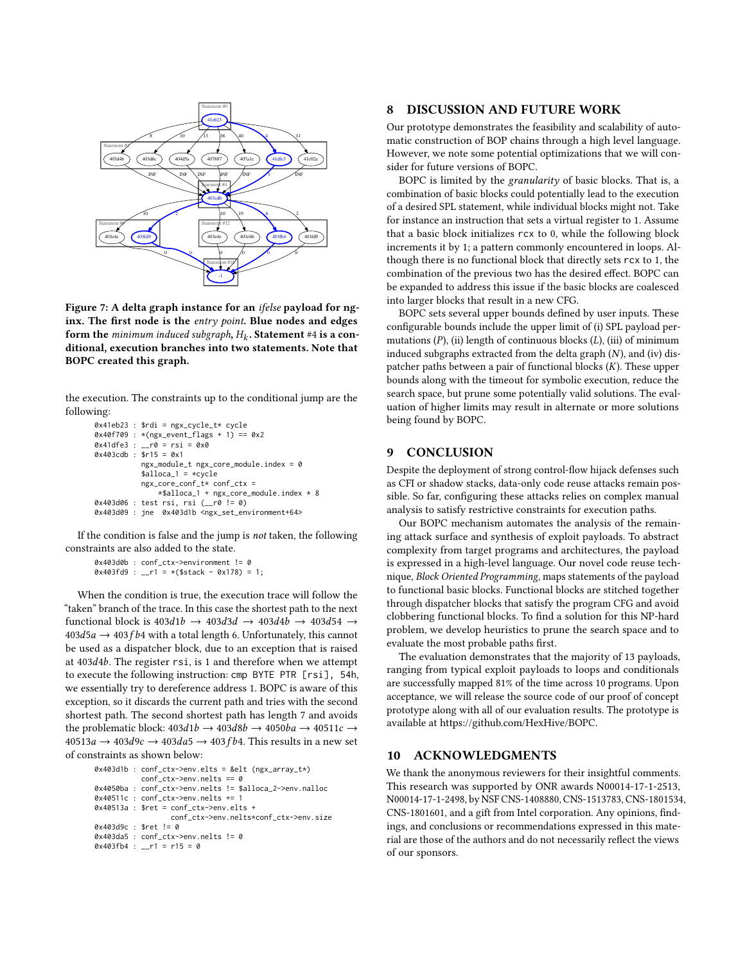<span id="page-11-0"></span>

Figure 7: A delta graph instance for an ifelse payload for nginx. The first node is the entry point. Blue nodes and edges **form the** minimum induced subgraph,  $H_k$ . **Statement** #4 **is a con-**<br>ditional, execution branches into two statements. Note that ditional, execution branches into two statements. Note that BOPC created this graph.

the execution. The constraints up to the conditional jump are the following:

```
0x41eb23 : $rdi = ngx_cycle_t* cycle
0x40f709 : *(ngx_event_flags + 1) == 0x2
0x41dfe3 : -r0 = rsi = 0x00x403cdb : $r15 = 0x1
           ngx_module_t ngx_core_module.index = 0
           $alloca_1 = *cycle
           ngx_core_conf_t* conf_ctx =
               *$alloca_1 + ngx_core_module.index * 8
0x403d06 : test rsi, rsi (__r0 != 0)
0x403d09 : jne 0x403d1b <ngx_set_environment+64>
```
If the condition is false and the jump is not taken, the following constraints are also added to the state.

```
0x403d0b : conf_ctx->environment != 0
0x403fd9 : __r1 = *($stack - 0x178) = 1;
```
When the condition is true, the execution trace will follow the "taken" branch of the trace. In this case the shortest path to the next functional block is  $403d1b \rightarrow 403d3d \rightarrow 403d4b \rightarrow 403d54 \rightarrow$  $403d5a \rightarrow 403fb4$  with a total length 6. Unfortunately, this cannot be used as a dispatcher block, due to an exception that is raised at <sup>403</sup>d4b. The register rsi, is <sup>1</sup> and therefore when we attempt to execute the following instruction: cmp BYTE PTR [rsi], 54h, we essentially try to dereference address 1. BOPC is aware of this exception, so it discards the current path and tries with the second shortest path. The second shortest path has length 7 and avoids the problematic block:  $403d1b \rightarrow 403d8b \rightarrow 4050ba \rightarrow 40511c \rightarrow$  $40513a \rightarrow 403d9c \rightarrow 403da5 \rightarrow 403fb4$ . This results in a new set of constraints as shown below:

```
0x403d1b : conf_ctx->env.elts = &elt (ngx_array_t*)
           conf_ctx->env.nelts == 0
0x4050ba : conf_ctx->env.nelts != $alloca_2->env.nalloc
0x40511c : conf_ctx->env.nelts += 1
0x40513a : $ret = conf_ctx->env.elts +
                 conf_ctx->env.nelts*conf_ctx->env.size
0x403d9c : $ret != 0
0x403da5 : conf_ctx->env.nelts != 0
0x403fb4 : -r1 = r15 = 0
```
#### 8 DISCUSSION AND FUTURE WORK

Our prototype demonstrates the feasibility and scalability of automatic construction of BOP chains through a high level language. However, we note some potential optimizations that we will consider for future versions of BOPC.

BOPC is limited by the granularity of basic blocks. That is, a combination of basic blocks could potentially lead to the execution of a desired SPL statement, while individual blocks might not. Take for instance an instruction that sets a virtual register to 1. Assume that a basic block initializes rcx to 0, while the following block increments it by 1; a pattern commonly encountered in loops. Although there is no functional block that directly sets rcx to 1, the combination of the previous two has the desired effect. BOPC can be expanded to address this issue if the basic blocks are coalesced into larger blocks that result in a new CFG.

BOPC sets several upper bounds defined by user inputs. These configurable bounds include the upper limit of (i) SPL payload permutations  $(P)$ , (ii) length of continuous blocks  $(L)$ , (iii) of minimum induced subgraphs extracted from the delta graph  $(N)$ , and  $(iv)$  dispatcher paths between a pair of functional blocks  $(K)$ . These upper bounds along with the timeout for symbolic execution, reduce the search space, but prune some potentially valid solutions. The evaluation of higher limits may result in alternate or more solutions being found by BOPC.

#### 9 CONCLUSION

Despite the deployment of strong control-flow hijack defenses such as CFI or shadow stacks, data-only code reuse attacks remain possible. So far, configuring these attacks relies on complex manual analysis to satisfy restrictive constraints for execution paths.

Our BOPC mechanism automates the analysis of the remaining attack surface and synthesis of exploit payloads. To abstract complexity from target programs and architectures, the payload is expressed in a high-level language. Our novel code reuse technique, Block Oriented Programming, maps statements of the payload to functional basic blocks. Functional blocks are stitched together through dispatcher blocks that satisfy the program CFG and avoid clobbering functional blocks. To find a solution for this NP-hard problem, we develop heuristics to prune the search space and to evaluate the most probable paths first.

The evaluation demonstrates that the majority of 13 payloads, ranging from typical exploit payloads to loops and conditionals are successfully mapped 81% of the time across 10 programs. Upon acceptance, we will release the source code of our proof of concept prototype along with all of our evaluation results. The prototype is available at [https://github.com/HexHive/BOPC.](https://github.com/HexHive/BOPC)

## 10 ACKNOWLEDGMENTS

We thank the anonymous reviewers for their insightful comments. This research was supported by ONR awards N00014-17-1-2513, N00014-17-1-2498, by NSF CNS-1408880, CNS-1513783, CNS-1801534, CNS-1801601, and a gift from Intel corporation. Any opinions, findings, and conclusions or recommendations expressed in this material are those of the authors and do not necessarily reflect the views of our sponsors.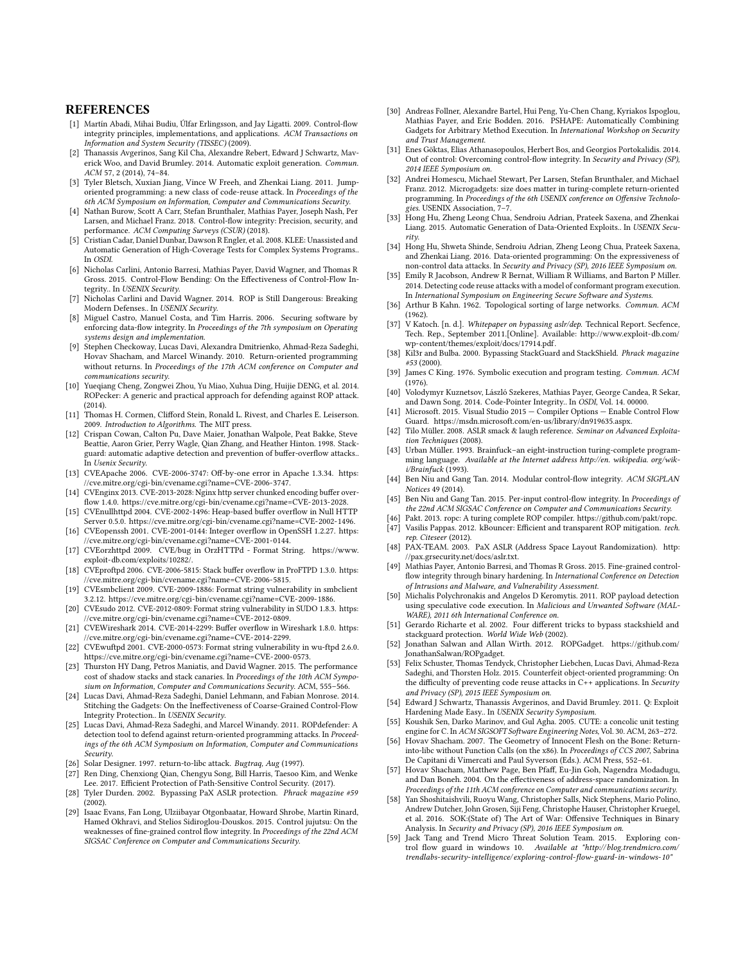#### **REFERENCES**

- <span id="page-12-10"></span>[1] Martín Abadi, Mihai Budiu, Úlfar Erlingsson, and Jay Ligatti. 2009. Control-flow integrity principles, implementations, and applications. ACM Transactions on Information and System Security (TISSEC) (2009).
- <span id="page-12-36"></span>Thanassis Avgerinos, Sang Kil Cha, Alexandre Rebert, Edward J Schwartz, Maverick Woo, and David Brumley. 2014. Automatic exploit generation. Commun. ACM 57, 2 (2014), 74–84.
- <span id="page-12-6"></span>[3] Tyler Bletsch, Xuxian Jiang, Vince W Freeh, and Zhenkai Liang. 2011. Jumporiented programming: a new class of code-reuse attack. In Proceedings of the 6th ACM Symposium on Information, Computer and Communications Security.
- <span id="page-12-11"></span>[4] Nathan Burow, Scott A Carr, Stefan Brunthaler, Mathias Payer, Joseph Nash, Per Larsen, and Michael Franz. 2018. Control-flow integrity: Precision, security, and performance. ACM Computing Surveys (CSUR) (2018).
- <span id="page-12-43"></span>[5] Cristian Cadar, Daniel Dunbar, Dawson R Engler, et al. 2008. KLEE: Unassisted and Automatic Generation of High-Coverage Tests for Complex Systems Programs.. In OSDI.
- <span id="page-12-18"></span>[6] Nicholas Carlini, Antonio Barresi, Mathias Payer, David Wagner, and Thomas R Gross. 2015. Control-Flow Bending: On the Effectiveness of Control-Flow Integrity.. In USENIX Security.
- <span id="page-12-35"></span>[7] Nicholas Carlini and David Wagner. 2014. ROP is Still Dangerous: Breaking Modern Defenses.. In USENIX Security.
- <span id="page-12-40"></span>[8] Miguel Castro, Manuel Costa, and Tim Harris. 2006. Securing software by enforcing data-flow integrity. In Proceedings of the 7th symposium on Operating systems design and implementation.
- <span id="page-12-24"></span>[9] Stephen Checkoway, Lucas Davi, Alexandra Dmitrienko, Ahmad-Reza Sadeghi, Hovav Shacham, and Marcel Winandy. 2010. Return-oriented programming without returns. In Proceedings of the 17th ACM conference on Computer and communications security.
- <span id="page-12-30"></span>[10] Yueqiang Cheng, Zongwei Zhou, Yu Miao, Xuhua Ding, Huijie DENG, et al. 2014. ROPecker: A generic and practical approach for defending against ROP attack. (2014).
- <span id="page-12-41"></span>[11] Thomas H. Cormen, Clifford Stein, Ronald L. Rivest, and Charles E. Leiserson. 2009. Introduction to Algorithms. The MIT press.
- <span id="page-12-0"></span>[12] Crispan Cowan, Calton Pu, Dave Maier, Jonathan Walpole, Peat Bakke, Steve Beattie, Aaron Grier, Perry Wagle, Qian Zhang, and Heather Hinton. 1998. Stackguard: automatic adaptive detection and prevention of buffer-overflow attacks.. In Usenix Security.
- <span id="page-12-55"></span>[13] CVEApache 2006. CVE-2006-3747: Off-by-one error in Apache 1.3.34. [https:](https://cve.mitre.org/cgi-bin/cvename.cgi?name=CVE-2006-3747) [//cve.mitre.org/cgi-bin/cvename.cgi?name=CVE-2006-3747.](https://cve.mitre.org/cgi-bin/cvename.cgi?name=CVE-2006-3747)
- <span id="page-12-48"></span>[14] CVEnginx 2013. CVE-2013-2028: Nginx http server chunked encoding buffer overflow 1.4.0. [https://cve.mitre.org/cgi-bin/cvename.cgi?name=CVE-2013-2028.](https://cve.mitre.org/cgi-bin/cvename.cgi?name=CVE-2013-2028)
- <span id="page-12-52"></span>[15] CVEnullhttpd 2004. CVE-2002-1496: Heap-based buffer overflow in Null HTTP Server 0.5.0. [https://cve.mitre.org/cgi-bin/cvename.cgi?name=CVE-2002-1496.](https://cve.mitre.org/cgi-bin/cvename.cgi?name=CVE-2002-1496)
- <span id="page-12-53"></span>[16] CVEopenssh 2001. CVE-2001-0144: Integer overflow in OpenSSH 1.2.27. [https:]( https://cve.mitre.org/cgi-bin/cvename.cgi?name=CVE-2001-0144) [//cve.mitre.org/cgi-bin/cvename.cgi?name=CVE-2001-0144.]( https://cve.mitre.org/cgi-bin/cvename.cgi?name=CVE-2001-0144)
- <span id="page-12-50"></span>[17] CVEorzhttpd 2009. CVE/bug in OrzHTTPd - Format String. [https://www.](https://www.exploit-db.com/exploits/10282/) [exploit-db.com/exploits/10282/.](https://www.exploit-db.com/exploits/10282/)
- <span id="page-12-47"></span>[18] CVEproftpd 2006. CVE-2006-5815: Stack buffer overflow in ProFTPD 1.3.0. [https:](https://cve.mitre.org/cgi-bin/cvename.cgi?name=CVE-2006-5815) [//cve.mitre.org/cgi-bin/cvename.cgi?name=CVE-2006-5815.](https://cve.mitre.org/cgi-bin/cvename.cgi?name=CVE-2006-5815)
- <span id="page-12-56"></span>[19] CVEsmbclient 2009. CVE-2009-1886: Format string vulnerability in smbclient 3.2.12. [https://cve.mitre.org/cgi-bin/cvename.cgi?name=CVE-2009-1886.](https://cve.mitre.org/cgi-bin/cvename.cgi?name=CVE-2009-1886)
- <span id="page-12-49"></span>[20] CVEsudo 2012. CVE-2012-0809: Format string vulnerability in SUDO 1.8.3. [https:](https://cve.mitre.org/cgi-bin/cvename.cgi?name=CVE-2012-0809) [//cve.mitre.org/cgi-bin/cvename.cgi?name=CVE-2012-0809.](https://cve.mitre.org/cgi-bin/cvename.cgi?name=CVE-2012-0809)
- <span id="page-12-54"></span>[21] CVEWireshark 2014. CVE-2014-2299: Buffer overflow in Wireshark 1.8.0. [https:](https://cve.mitre.org/cgi-bin/cvename.cgi?name=CVE-2014-2299) [//cve.mitre.org/cgi-bin/cvename.cgi?name=CVE-2014-2299.](https://cve.mitre.org/cgi-bin/cvename.cgi?name=CVE-2014-2299)
- <span id="page-12-51"></span>[22] CVEwuftpd 2001. CVE-2000-0573: Format string vulnerability in wu-ftpd 2.6.0. [https://cve.mitre.org/cgi-bin/cvename.cgi?name=CVE-2000-0573.](https://cve.mitre.org/cgi-bin/cvename.cgi?name=CVE-2000-0573)
- <span id="page-12-13"></span>[23] Thurston HY Dang, Petros Maniatis, and David Wagner. 2015. The performance cost of shadow stacks and stack canaries. In Proceedings of the 10th ACM Symposium on Information, Computer and Communications Security. ACM, 555–566.
- <span id="page-12-19"></span>[24] Lucas Davi, Ahmad-Reza Sadeghi, Daniel Lehmann, and Fabian Monrose. 2014. Stitching the Gadgets: On the Ineffectiveness of Coarse-Grained Control-Flow Integrity Protection.. In USENIX Security.
- <span id="page-12-31"></span>[25] Lucas Davi, Ahmad-Reza Sadeghi, and Marcel Winandy. 2011. ROPdefender: A detection tool to defend against return-oriented programming attacks. In Proceedings of the 6th ACM Symposium on Information, Computer and Communications Security.
- <span id="page-12-23"></span>Solar Designer. 1997. return-to-libc attack. Bugtraq, Aug (1997).
- <span id="page-12-38"></span>[27] Ren Ding, Chenxiong Qian, Chengyu Song, Bill Harris, Taesoo Kim, and Wenke Lee. 2017. Efficient Protection of Path-Sensitive Control Security. (2017).
- <span id="page-12-2"></span>[28] Tyler Durden. 2002. Bypassing PaX ASLR protection. Phrack magazine #59 (2002).
- <span id="page-12-20"></span>[29] Isaac Evans, Fan Long, Ulziibayar Otgonbaatar, Howard Shrobe, Martin Rinard, Hamed Okhravi, and Stelios Sidiroglou-Douskos. 2015. Control jujutsu: On the weaknesses of fine-grained control flow integrity. In Proceedings of the 22nd ACM SIGSAC Conference on Computer and Communications Security.
- <span id="page-12-26"></span>[30] Andreas Follner, Alexandre Bartel, Hui Peng, Yu-Chen Chang, Kyriakos Ispoglou, Mathias Payer, and Eric Bodden. 2016. PSHAPE: Automatically Combining Gadgets for Arbitrary Method Execution. In International Workshop on Security and Trust Management.
- <span id="page-12-21"></span>[31] Enes Göktas, Elias Athanasopoulos, Herbert Bos, and Georgios Portokalidis. 2014. Out of control: Overcoming control-flow integrity. In Security and Privacy (SP), 2014 IEEE Symposium on.
- <span id="page-12-25"></span>[32] Andrei Homescu, Michael Stewart, Per Larsen, Stefan Brunthaler, and Michael Franz. 2012. Microgadgets: size does matter in turing-complete return-oriented programming. In Proceedings of the 6th USENIX conference on Offensive Technologies. USENIX Association, 7–7.
- <span id="page-12-57"></span>[33] Hong Hu, Zheng Leong Chua, Sendroiu Adrian, Prateek Saxena, and Zhenkai Liang. 2015. Automatic Generation of Data-Oriented Exploits.. In USENIX Security.
- <span id="page-12-39"></span>[34] Hong Hu, Shweta Shinde, Sendroiu Adrian, Zheng Leong Chua, Prateek Saxena, and Zhenkai Liang. 2016. Data-oriented programming: On the expressiveness of non-control data attacks. In Security and Privacy (SP), 2016 IEEE Symposium on.
- <span id="page-12-32"></span>[35] Emily R Jacobson, Andrew R Bernat, William R Williams, and Barton P Miller. 2014. Detecting code reuse attacks with a model of conformant program execution. In International Symposium on Engineering Secure Software and Systems.
- <span id="page-12-46"></span>[36] Arthur B Kahn. 1962. Topological sorting of large networks. Commun. ACM (1962).
- <span id="page-12-7"></span>[37] V Katoch. [n. d.]. Whitepaper on bypassing aslr/dep. Technical Report. Secfence, Tech. Rep., September 2011.[Online]. Available: [http://www.exploit-db.com/](http://www.exploit-db.com/wp-content/themes/exploit/docs/17914.pdf) [wp-content/themes/exploit/docs/17914.pdf.](http://www.exploit-db.com/wp-content/themes/exploit/docs/17914.pdf)
- <span id="page-12-3"></span>[38] Kil3r and Bulba. 2000. Bypassing StackGuard and StackShield. Phrack magazine #53 (2000).
- <span id="page-12-45"></span>[39] James C King. 1976. Symbolic execution and program testing. Commun. ACM (1976).
- <span id="page-12-14"></span>[40] Volodymyr Kuznetsov, László Szekeres, Mathias Payer, George Candea, R Sekar, and Dawn Song. 2014. Code-Pointer Integrity.. In OSDI, Vol. 14. 00000.
- <span id="page-12-12"></span>[41] Microsoft. 2015. Visual Studio 2015 — Compiler Options — Enable Control Flow Guard. [https://msdn.microsoft.com/en-us/library/dn919635.aspx.](https://msdn.microsoft.com/en-us/library/dn919635.aspx)
- <span id="page-12-4"></span>[42] Tilo Müller. 2008. ASLR smack & laugh reference. Seminar on Advanced Exploitation Techniques (2008).
- <span id="page-12-58"></span>[43] Urban Müller. 1993. Brainfuck–an eight-instruction turing-complete programming language. Available at the Internet address http://en. wikipedia. org/wiki/Brainfuck (1993).
- <span id="page-12-15"></span>[44] Ben Niu and Gang Tan. 2014. Modular control-flow integrity. ACM SIGPLAN Notices 49 (2014).
- <span id="page-12-16"></span>[45] Ben Niu and Gang Tan. 2015. Per-input control-flow integrity. In Proceedings of the 22nd ACM SIGSAC Conference on Computer and Communications Security.
- <span id="page-12-33"></span><span id="page-12-27"></span>[46] Pakt. 2013. ropc: A turing complete ROP compiler. [https://github.com/pakt/ropc.](https://github.com/pakt/ropc) [47] Vasilis Pappas. 2012. kBouncer: Efficient and transparent ROP mitigation. tech. rep. Citeseer (2012).
- <span id="page-12-1"></span>[48] PAX-TEAM. 2003. PaX ASLR (Address Space Layout Randomization). [http:](http://pax.grsecurity.net/docs/aslr.txt) [//pax.grsecurity.net/docs/aslr.txt.](http://pax.grsecurity.net/docs/aslr.txt)
- <span id="page-12-37"></span>[49] Mathias Payer, Antonio Barresi, and Thomas R Gross. 2015. Fine-grained controlflow integrity through binary hardening. In International Conference on Detection of Intrusions and Malware, and Vulnerability Assessment.
- <span id="page-12-34"></span>[50] Michalis Polychronakis and Angelos D Keromytis. 2011. ROP payload detection using speculative code execution. In Malicious and Unwanted Software (MAL-WARE), 2011 6th International Conference on.
- <span id="page-12-5"></span>Gerardo Richarte et al. 2002. Four different tricks to bypass stackshield and stackguard protection. World Wide Web (2002).
- <span id="page-12-28"></span>[52] Jonathan Salwan and Allan Wirth. 2012. ROPGadget. [https://github.com/](https://github.com/JonathanSalwan/ROPgadget) [JonathanSalwan/ROPgadget.](https://github.com/JonathanSalwan/ROPgadget)
- <span id="page-12-22"></span>[53] Felix Schuster, Thomas Tendyck, Christopher Liebchen, Lucas Davi, Ahmad-Reza Sadeghi, and Thorsten Holz. 2015. Counterfeit object-oriented programming: On the difficulty of preventing code reuse attacks in C++ applications. In Security and Privacy (SP), 2015 IEEE Symposium on.
- <span id="page-12-29"></span>[54] Edward J Schwartz, Thanassis Avgerinos, and David Brumley. 2011. Q: Exploit Hardening Made Easy.. In USENIX Security Symposium
- <span id="page-12-42"></span>[55] Koushik Sen, Darko Marinov, and Gul Agha. 2005. CUTE: a concolic unit testing engine for C. In ACM SIGSOFT Software Engineering Notes, Vol. 30. ACM, 263–272.
- <span id="page-12-8"></span>Hovav Shacham. 2007. The Geometry of Innocent Flesh on the Bone: Returninto-libc without Function Calls (on the x86). In Proceedings of CCS 2007, Sabrina De Capitani di Vimercati and Paul Syverson (Eds.). ACM Press, 552–61.
- <span id="page-12-9"></span>[57] Hovav Shacham, Matthew Page, Ben Pfaff, Eu-Jin Goh, Nagendra Modadugu, and Dan Boneh. 2004. On the effectiveness of address-space randomization. In Proceedings of the 11th ACM conference on Computer and communications security.
- <span id="page-12-44"></span>[58] Yan Shoshitaishvili, Ruoyu Wang, Christopher Salls, Nick Stephens, Mario Polino, Andrew Dutcher, John Grosen, Siji Feng, Christophe Hauser, Christopher Kruegel, et al. 2016. SOK:(State of) The Art of War: Offensive Techniques in Binary Analysis. In Security and Privacy (SP), 2016 IEEE Symposium on.
- <span id="page-12-17"></span>[59] Jack Tang and Trend Micro Threat Solution Team. 2015. Exploring control flow guard in windows 10. Available at ["http://blog.trendmicro.com/](http://blog.trendmicro.com/trendlabs-security-intelligence/exploring-control-flow-guard-in-windows-10) [trendlabs-security-intelligence/ exploring-control-flow-guard-in-windows-10"](http://blog.trendmicro.com/trendlabs-security-intelligence/exploring-control-flow-guard-in-windows-10)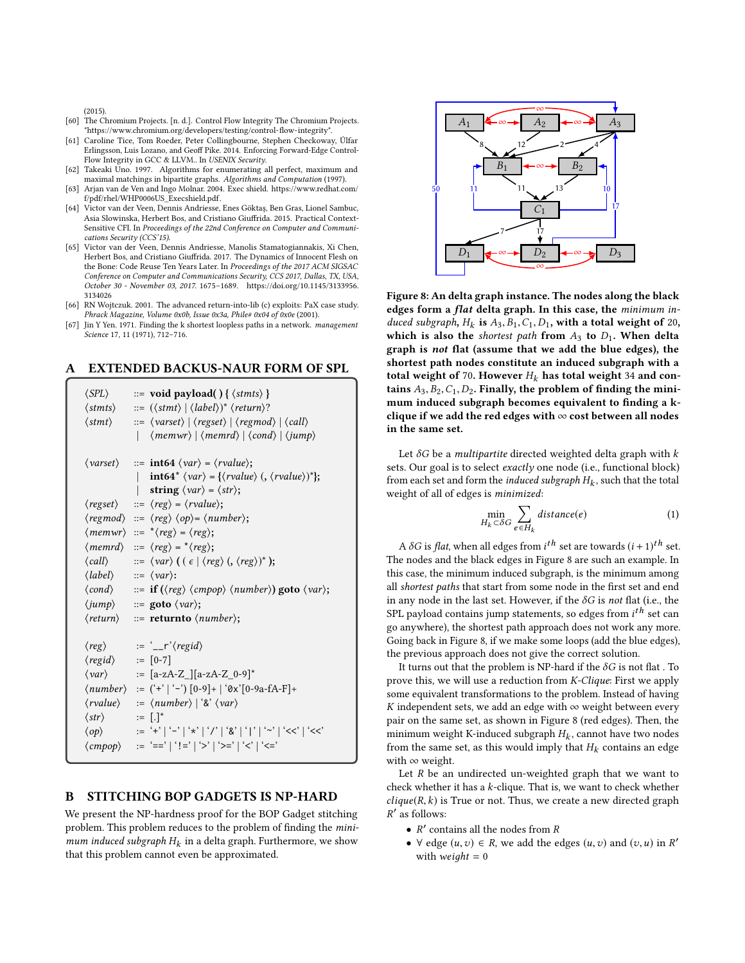$(2015)$ 

- <span id="page-13-3"></span>[60] The Chromium Projects. [n. d.]. Control Flow Integrity The Chromium Projects. ["https://www.chromium.org/developers/testing/control-flow-integrity"](https://www.chromium.org/developers/testing/control-flow-integrity).
- <span id="page-13-2"></span>[61] Caroline Tice, Tom Roeder, Peter Collingbourne, Stephen Checkoway, Úlfar Erlingsson, Luis Lozano, and Geoff Pike. 2014. Enforcing Forward-Edge Control-Flow Integrity in GCC & LLVM.. In USENIX Security.
- <span id="page-13-8"></span>[62] Takeaki Uno. 1997. Algorithms for enumerating all perfect, maximum and maximal matchings in bipartite graphs. Algorithms and Computation (1997).
- <span id="page-13-0"></span>[63] Arjan van de Ven and Ingo Molnar. 2004. Exec shield. [https://www.redhat.com/](https://www.redhat.com/f/pdf/rhel/WHP0006US_Execshield.pdf) [f/pdf/rhel/WHP0006US\\_Execshield.pdf.](https://www.redhat.com/f/pdf/rhel/WHP0006US_Execshield.pdf)
- <span id="page-13-4"></span>[64] Victor van der Veen, Dennis Andriesse, Enes Göktaş, Ben Gras, Lionel Sambuc, Asia Slowinska, Herbert Bos, and Cristiano Giuffrida. 2015. Practical Context-Sensitive CFI. In Proceedings of the 22nd Conference on Computer and Communications Security (CCS'15).
- <span id="page-13-5"></span>[65] Victor van der Veen, Dennis Andriesse, Manolis Stamatogiannakis, Xi Chen, Herbert Bos, and Cristiano Giuffrida. 2017. The Dynamics of Innocent Flesh on the Bone: Code Reuse Ten Years Later. In Proceedings of the 2017 ACM SIGSAC Conference on Computer and Communications Security, CCS 2017, Dallas, TX, USA, October 30 - November 03, 2017. 1675–1689. [https://doi.org/10.1145/3133956.](https://doi.org/10.1145/3133956.3134026) [3134026](https://doi.org/10.1145/3133956.3134026)
- <span id="page-13-1"></span>[66] RN Wojtczuk. 2001. The advanced return-into-lib (c) exploits: PaX case study. Phrack Magazine, Volume 0x0b, Issue 0x3a, Phile#  $0x04$  of  $0x0e$  (2001).
- <span id="page-13-9"></span>[67] Jin Y Yen. 1971. Finding the k shortest loopless paths in a network. management Science 17, 11 (1971), 712–716.

## <span id="page-13-7"></span>A EXTENDED BACKUS-NAUR FORM OF SPL

| $\langle SPL\rangle$<br>$\langle \textit{stmts} \rangle$<br>$\langle$ stmt $\rangle$ | $ ::= \text{ void payload() } \{ \langle \text{stmts} \rangle \}$<br>$ ::= (\langle \mathit{stmt} \rangle \mid \langle \mathit{label} \rangle)^* \langle \mathit{return} \rangle?$<br>$\Rightarrow$ $\langle \text{varset} \rangle \mid \langle \text{regset} \rangle \mid \langle \text{regmod} \rangle \mid \langle \text{call} \rangle$<br>$\langle \textit{memwr} \rangle   \langle \textit{memrd} \rangle   \langle \textit{cond} \rangle   \langle \textit{jump} \rangle$<br>$\mathbf{L}$ |
|--------------------------------------------------------------------------------------|-------------------------------------------------------------------------------------------------------------------------------------------------------------------------------------------------------------------------------------------------------------------------------------------------------------------------------------------------------------------------------------------------------------------------------------------------------------------------------------------------|
| $\langle \textit{varset} \rangle$                                                    | $ ::= \textbf{int64} \langle var \rangle = \langle \text{rvalue} \rangle;$<br>$\int \int (var) = \{ \langle \text{value} \rangle (\langle \text{value} \rangle)^* \};$<br>$\mathbf{L}$<br>  string $\langle var \rangle = \langle str \rangle$ ;                                                                                                                                                                                                                                                |
|                                                                                      | $\langle \text{regset} \rangle$ ::= $\langle \text{reg} \rangle$ = $\langle \text{rvalue} \rangle$ ;                                                                                                                                                                                                                                                                                                                                                                                            |
|                                                                                      | $\langle regmod \rangle ::= \langle reg \rangle \langle op \rangle = \langle number \rangle;$                                                                                                                                                                                                                                                                                                                                                                                                   |
|                                                                                      | $\langle \textit{memwr} \rangle ::= \sqrt[t]{\textit{reg}} = \langle \textit{reg} \rangle;$                                                                                                                                                                                                                                                                                                                                                                                                     |
|                                                                                      | $\langle \textit{memrd} \rangle$ ::= $\langle \textit{reg} \rangle$ = $\langle \textit{reg} \rangle$ ;                                                                                                                                                                                                                                                                                                                                                                                          |
|                                                                                      | $\langle \text{call} \rangle$ ::= $\langle \text{var} \rangle$ ( $(\epsilon   \langle \text{reg} \rangle), \langle \text{reg} \rangle)^*$ );                                                                                                                                                                                                                                                                                                                                                    |
|                                                                                      | $\langle label \rangle$ ::= $\langle var \rangle$ :                                                                                                                                                                                                                                                                                                                                                                                                                                             |
| $\langle cond \rangle$                                                               | $\equiv$ if ( $\langle reg \rangle$ $\langle compop \rangle$ $\langle number \rangle$ ) goto $\langle var \rangle$ ;                                                                                                                                                                                                                                                                                                                                                                            |
|                                                                                      | $\langle jump \rangle$ ::= goto $\langle var \rangle$ ;                                                                                                                                                                                                                                                                                                                                                                                                                                         |
|                                                                                      | $\langle return \rangle$ ::= <b>returnto</b> $\langle number \rangle$ ;                                                                                                                                                                                                                                                                                                                                                                                                                         |
|                                                                                      |                                                                                                                                                                                                                                                                                                                                                                                                                                                                                                 |
| $\langle reg \rangle$                                                                | $:=$ $\frac{r}{2}$ $\frac{r}{q}$ $\frac{r}{q}$                                                                                                                                                                                                                                                                                                                                                                                                                                                  |
| $\langle \text{regid} \rangle$ := [0-7]                                              |                                                                                                                                                                                                                                                                                                                                                                                                                                                                                                 |
|                                                                                      | $\langle var \rangle$ := [a-zA-Z_][a-zA-Z_0-9]*                                                                                                                                                                                                                                                                                                                                                                                                                                                 |
|                                                                                      | $\langle number \rangle$ := ('+'   '-') [0-9]+   '0x'[0-9a-fA-F]+                                                                                                                                                                                                                                                                                                                                                                                                                               |
|                                                                                      | $\langle \text{rvalue} \rangle$ := $\langle \text{number} \rangle   \, \hat{\mathcal{E}} \, \langle \text{var} \rangle$                                                                                                                                                                                                                                                                                                                                                                         |
| $\langle str \rangle$ := $[.]^*$                                                     |                                                                                                                                                                                                                                                                                                                                                                                                                                                                                                 |
| $\langle op \rangle$                                                                 | $\; :=\; ' + ' \mid ' - ' \mid ' \star ' \mid ' / ' \mid ' \& ' \mid ' \mid ' \sim ' \mid ' < ' \mid ' < '$                                                                                                                                                                                                                                                                                                                                                                                     |
|                                                                                      | $\langle \textit{cmpop} \rangle$ := '==' '!=' '>' '>=' '<' '<='                                                                                                                                                                                                                                                                                                                                                                                                                                 |
|                                                                                      |                                                                                                                                                                                                                                                                                                                                                                                                                                                                                                 |

# <span id="page-13-6"></span>B STITCHING BOP GADGETS IS NP-HARD

We present the NP-hardness proof for the BOP Gadget stitching problem. This problem reduces to the problem of finding the minimum induced subgraph  $H_k$  in a delta graph. Furthermore, we show<br>that this problem cannot even be approximated that this problem cannot even be approximated.

<span id="page-13-10"></span>

Figure 8: An delta graph instance. The nodes along the black edges form a flat delta graph. In this case, the minimum induced subgraph,  $H_k$  is  $A_3, B_1, C_1, D_1$ , with a total weight of 20,<br>which is also the shortest nath from  $A_2$  to  $D_k$ . When delta which is also the *shortest path* from  $A_3$  to  $D_1$ . When delta graph is not flat (assume that we add the blue edges), the shortest path nodes constitute an induced subgraph with a total weight of 70. However  $H_k$  has total weight 34 and contains  $A_3, B_2, C_1, D_2$ . Finally, the problem of finding the minimum induced subgraph becomes equivalent to finding a kclique if we add the red edges with  $\infty$  cost between all nodes in the same set.

Let  $\delta G$  be a *multipartite* directed weighted delta graph with  $k$ sets. Our goal is to select exactly one node (i.e., functional block) from each set and form the *induced subgraph*  $H_k$ , such that the total<br>weight of all of edges is *minimized*. weight of all of edges is minimized:

$$
\min_{H_k \subset \delta G} \sum_{e \in H_k} \text{distance}(e) \tag{1}
$$

A  $\delta G$  is flat, when all edges from  $i^{th}$  set are towards  $(i + 1)^{th}$  set.<br>A nodes and the black edges in Figure 8 are such an example. In The nodes and the black edges in [Figure 8](#page-13-10) are such an example. In this case, the minimum induced subgraph, is the minimum among all shortest paths that start from some node in the first set and end in any node in the last set. However, if the  $\delta G$  is not flat (i.e., the SPL payload contains jump statements, so edges from  $i^{th}$  set can<br>go anywhere), the shortest path anaroach does not work any more go anywhere), the shortest path approach does not work any more. Going back in [Figure 8,](#page-13-10) if we make some loops (add the blue edges), the previous approach does not give the correct solution.

It turns out that the problem is NP-hard if the  $\delta G$  is not flat . To prove this, we will use a reduction from K-Clique: First we apply some equivalent transformations to the problem. Instead of having K independent sets, we add an edge with  $\infty$  weight between every pair on the same set, as shown in [Figure 8](#page-13-10) (red edges). Then, the minimum weight K-induced subgraph  $H_k$ , cannot have two nodes<br>from the same set, as this would imply that  $H_k$  contains an edge from the same set, as this would imply that  $H_k$  contains an edge<br>with  $\infty$  weight with ∞ weight.

Let  $R$  be an undirected un-weighted graph that we want to check whether it has a  $k$ -clique. That is, we want to check whether  $clique(R, k)$  is True or not. Thus, we create a new directed graph ′ as follows:

- R' contains all the nodes from R<br>•  $\forall$  edge  $(u, z) \in R$ , we add the e
- $\forall$  edge  $(u, v) \in R$ , we add the edges  $(u, v)$  and  $(v, u)$  in  $R'$ <br>with weight  $-0$ with *weight* =  $0$